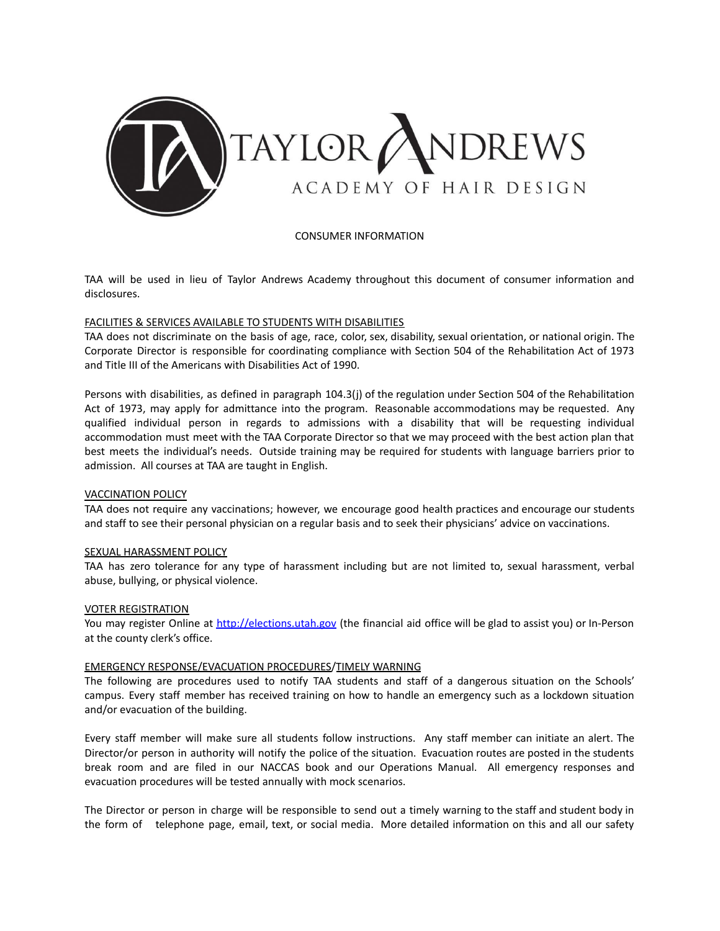

CONSUMER INFORMATION

TAA will be used in lieu of Taylor Andrews Academy throughout this document of consumer information and disclosures.

### FACILITIES & SERVICES AVAILABLE TO STUDENTS WITH DISABILITIES

TAA does not discriminate on the basis of age, race, color, sex, disability, sexual orientation, or national origin. The Corporate Director is responsible for coordinating compliance with Section 504 of the Rehabilitation Act of 1973 and Title III of the Americans with Disabilities Act of 1990.

Persons with disabilities, as defined in paragraph 104.3(j) of the regulation under Section 504 of the Rehabilitation Act of 1973, may apply for admittance into the program. Reasonable accommodations may be requested. Any qualified individual person in regards to admissions with a disability that will be requesting individual accommodation must meet with the TAA Corporate Director so that we may proceed with the best action plan that best meets the individual's needs. Outside training may be required for students with language barriers prior to admission. All courses at TAA are taught in English.

#### VACCINATION POLICY

TAA does not require any vaccinations; however, we encourage good health practices and encourage our students and staff to see their personal physician on a regular basis and to seek their physicians' advice on vaccinations.

#### SEXUAL HARASSMENT POLICY

TAA has zero tolerance for any type of harassment including but are not limited to, sexual harassment, verbal abuse, bullying, or physical violence.

#### VOTER REGISTRATION

You may register Online at <http://elections.utah.gov> (the financial aid office will be glad to assist you) or In-Person at the county clerk's office.

#### EMERGENCY RESPONSE/EVACUATION PROCEDURES/TIMELY WARNING

The following are procedures used to notify TAA students and staff of a dangerous situation on the Schools' campus. Every staff member has received training on how to handle an emergency such as a lockdown situation and/or evacuation of the building.

Every staff member will make sure all students follow instructions. Any staff member can initiate an alert. The Director/or person in authority will notify the police of the situation. Evacuation routes are posted in the students break room and are filed in our NACCAS book and our Operations Manual. All emergency responses and evacuation procedures will be tested annually with mock scenarios.

The Director or person in charge will be responsible to send out a timely warning to the staff and student body in the form of telephone page, email, text, or social media. More detailed information on this and all our safety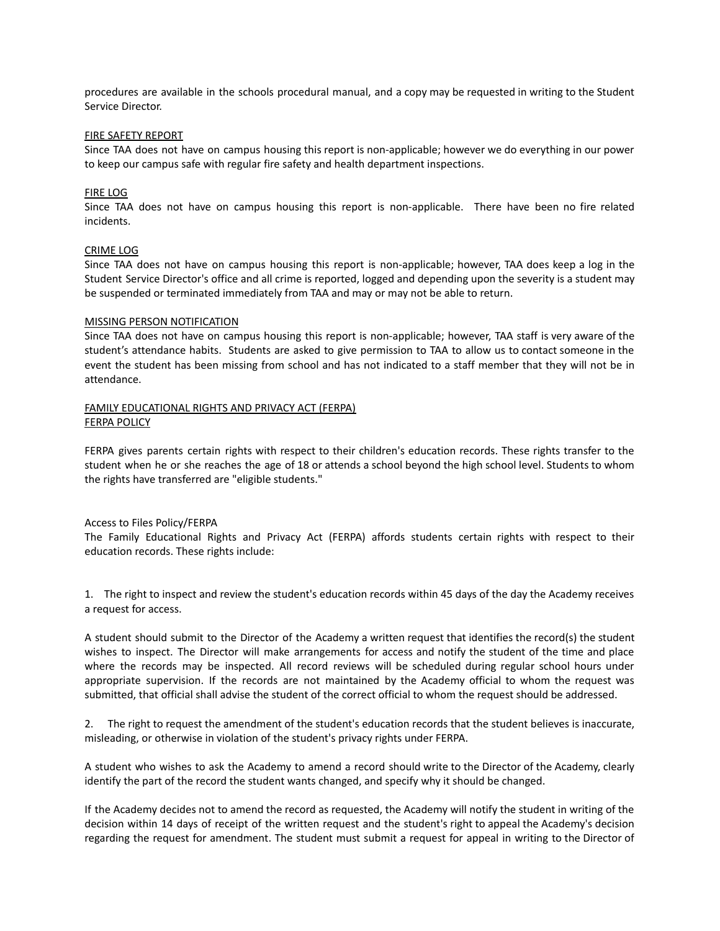procedures are available in the schools procedural manual, and a copy may be requested in writing to the Student Service Director.

#### FIRE SAFETY REPORT

Since TAA does not have on campus housing this report is non-applicable; however we do everything in our power to keep our campus safe with regular fire safety and health department inspections.

#### FIRE LOG

Since TAA does not have on campus housing this report is non-applicable. There have been no fire related incidents.

#### CRIME LOG

Since TAA does not have on campus housing this report is non-applicable; however, TAA does keep a log in the Student Service Director's office and all crime is reported, logged and depending upon the severity is a student may be suspended or terminated immediately from TAA and may or may not be able to return.

#### MISSING PERSON NOTIFICATION

Since TAA does not have on campus housing this report is non-applicable; however, TAA staff is very aware of the student's attendance habits. Students are asked to give permission to TAA to allow us to contact someone in the event the student has been missing from school and has not indicated to a staff member that they will not be in attendance.

### FAMILY EDUCATIONAL RIGHTS AND PRIVACY ACT (FERPA) FERPA POLICY

FERPA gives parents certain rights with respect to their children's education records. These rights transfer to the student when he or she reaches the age of 18 or attends a school beyond the high school level. Students to whom the rights have transferred are "eligible students."

#### Access to Files Policy/FERPA

The Family Educational Rights and Privacy Act (FERPA) affords students certain rights with respect to their education records. These rights include:

1. The right to inspect and review the student's education records within 45 days of the day the Academy receives a request for access.

A student should submit to the Director of the Academy a written request that identifies the record(s) the student wishes to inspect. The Director will make arrangements for access and notify the student of the time and place where the records may be inspected. All record reviews will be scheduled during regular school hours under appropriate supervision. If the records are not maintained by the Academy official to whom the request was submitted, that official shall advise the student of the correct official to whom the request should be addressed.

2. The right to request the amendment of the student's education records that the student believes is inaccurate, misleading, or otherwise in violation of the student's privacy rights under FERPA.

A student who wishes to ask the Academy to amend a record should write to the Director of the Academy, clearly identify the part of the record the student wants changed, and specify why it should be changed.

If the Academy decides not to amend the record as requested, the Academy will notify the student in writing of the decision within 14 days of receipt of the written request and the student's right to appeal the Academy's decision regarding the request for amendment. The student must submit a request for appeal in writing to the Director of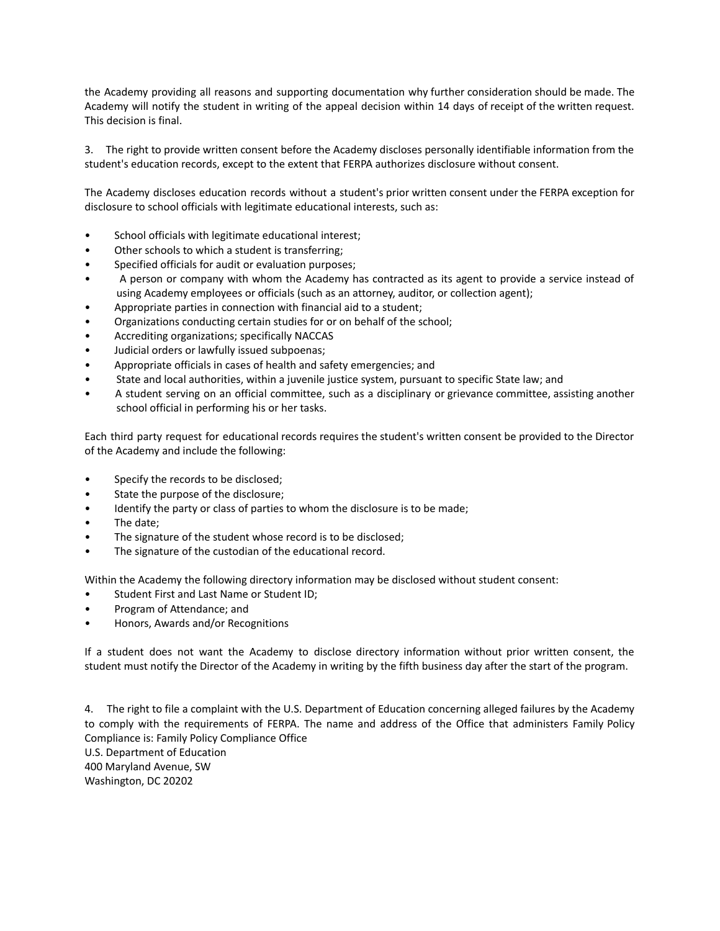the Academy providing all reasons and supporting documentation why further consideration should be made. The Academy will notify the student in writing of the appeal decision within 14 days of receipt of the written request. This decision is final.

3. The right to provide written consent before the Academy discloses personally identifiable information from the student's education records, except to the extent that FERPA authorizes disclosure without consent.

The Academy discloses education records without a student's prior written consent under the FERPA exception for disclosure to school officials with legitimate educational interests, such as:

- School officials with legitimate educational interest;
- Other schools to which a student is transferring;
- Specified officials for audit or evaluation purposes;
- A person or company with whom the Academy has contracted as its agent to provide a service instead of using Academy employees or officials (such as an attorney, auditor, or collection agent);
- Appropriate parties in connection with financial aid to a student;
- Organizations conducting certain studies for or on behalf of the school;
- Accrediting organizations; specifically NACCAS
- Judicial orders or lawfully issued subpoenas;
- Appropriate officials in cases of health and safety emergencies; and
- State and local authorities, within a juvenile justice system, pursuant to specific State law; and
- A student serving on an official committee, such as a disciplinary or grievance committee, assisting another school official in performing his or her tasks.

Each third party request for educational records requires the student's written consent be provided to the Director of the Academy and include the following:

- Specify the records to be disclosed;
- State the purpose of the disclosure;
- Identify the party or class of parties to whom the disclosure is to be made;
- The date;
- The signature of the student whose record is to be disclosed;
- The signature of the custodian of the educational record.

Within the Academy the following directory information may be disclosed without student consent:

- Student First and Last Name or Student ID;
- Program of Attendance; and
- Honors, Awards and/or Recognitions

If a student does not want the Academy to disclose directory information without prior written consent, the student must notify the Director of the Academy in writing by the fifth business day after the start of the program.

4. The right to file a complaint with the U.S. Department of Education concerning alleged failures by the Academy to comply with the requirements of FERPA. The name and address of the Office that administers Family Policy Compliance is: Family Policy Compliance Office U.S. Department of Education 400 Maryland Avenue, SW

Washington, DC 20202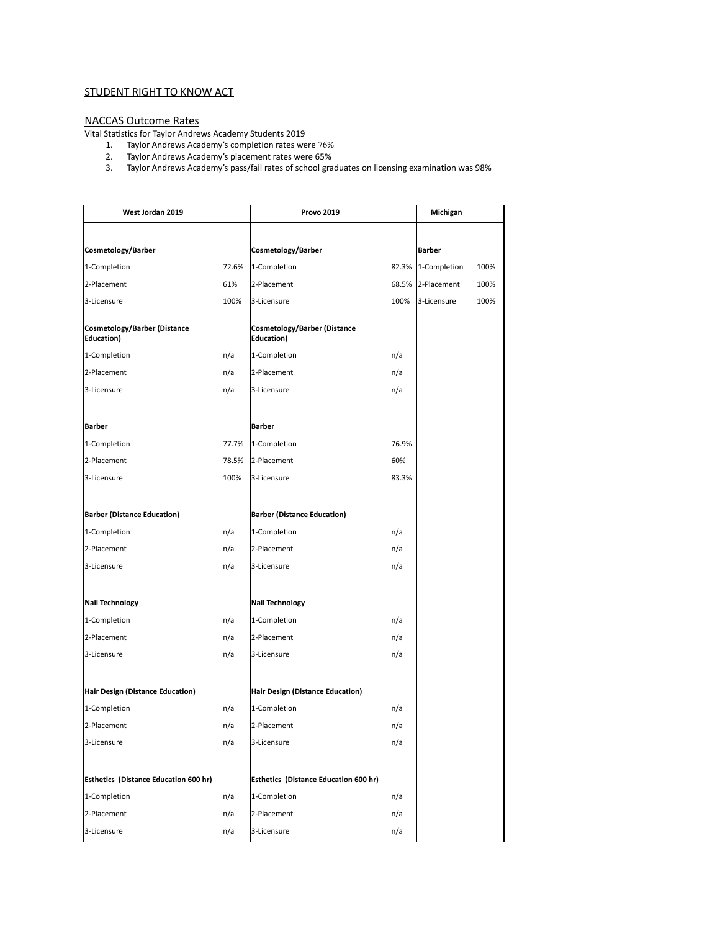## **STUDENT RIGHT TO KNOW ACT**

#### NACCAS Outcome Rates

Vital Statistics for Taylor Andrews Academy Students 2019

- 1. Taylor Andrews Academy's completion rates were 76%
- 2. Taylor Andrews Academy's placement rates were 65%
- 3. Taylor Andrews Academy's pass/fail rates of school graduates on licensing examination was 98%

| West Jordan 2019                             |                | <b>Provo 2019</b>                            |              | Michigan           |      |
|----------------------------------------------|----------------|----------------------------------------------|--------------|--------------------|------|
|                                              |                |                                              |              |                    |      |
| Cosmetology/Barber                           |                | Cosmetology/Barber                           |              | <b>Barber</b>      |      |
| 1-Completion                                 | 72.6%          | 1-Completion                                 |              | 82.3% 1-Completion | 100% |
| 2-Placement                                  | 61%            | 2-Placement                                  | 68.5%        | 2-Placement        | 100% |
| 3-Licensure                                  | 100%           | 3-Licensure                                  | 100%         | 3-Licensure        | 100% |
| Cosmetology/Barber (Distance<br>Education)   |                | Cosmetology/Barber (Distance<br>Education)   |              |                    |      |
| 1-Completion                                 | n/a            | 1-Completion                                 | n/a          |                    |      |
| 2-Placement                                  | n/a            | 2-Placement                                  | n/a          |                    |      |
| 3-Licensure                                  | n/a            | 3-Licensure                                  | n/a          |                    |      |
|                                              |                |                                              |              |                    |      |
| <b>Barber</b>                                |                | <b>Barber</b>                                |              |                    |      |
| 1-Completion                                 | 77.7%<br>78.5% | 1-Completion                                 | 76.9%        |                    |      |
| 2-Placement                                  |                | 2-Placement                                  | 60%<br>83.3% |                    |      |
| 3-Licensure                                  | 100%           | 3-Licensure                                  |              |                    |      |
| <b>Barber (Distance Education)</b>           |                | <b>Barber (Distance Education)</b>           |              |                    |      |
| 1-Completion                                 | n/a            | 1-Completion                                 | n/a          |                    |      |
| 2-Placement                                  | n/a            | 2-Placement                                  | n/a          |                    |      |
| 3-Licensure                                  | n/a            | 3-Licensure                                  | n/a          |                    |      |
| <b>Nail Technology</b>                       |                | Nail Technology                              |              |                    |      |
| 1-Completion                                 | n/a            | 1-Completion                                 | n/a          |                    |      |
| 2-Placement                                  | n/a            | 2-Placement                                  | n/a          |                    |      |
| 3-Licensure                                  | n/a            | 3-Licensure                                  | n/a          |                    |      |
|                                              |                |                                              |              |                    |      |
| Hair Design (Distance Education)             |                | Hair Design (Distance Education)             |              |                    |      |
| 1-Completion                                 | n/a            | 1-Completion                                 | n/a          |                    |      |
| 2-Placement                                  | n/a            | 2-Placement                                  | n/a          |                    |      |
| 3-Licensure                                  | n/a            | 3-Licensure                                  | n/a          |                    |      |
| <b>Esthetics (Distance Education 600 hr)</b> |                | <b>Esthetics (Distance Education 600 hr)</b> |              |                    |      |
| 1-Completion                                 | n/a            | 1-Completion                                 | n/a          |                    |      |
| 2-Placement                                  | n/a            | 2-Placement                                  | n/a          |                    |      |
| 3-Licensure                                  | n/a            | 3-Licensure                                  | n/a          |                    |      |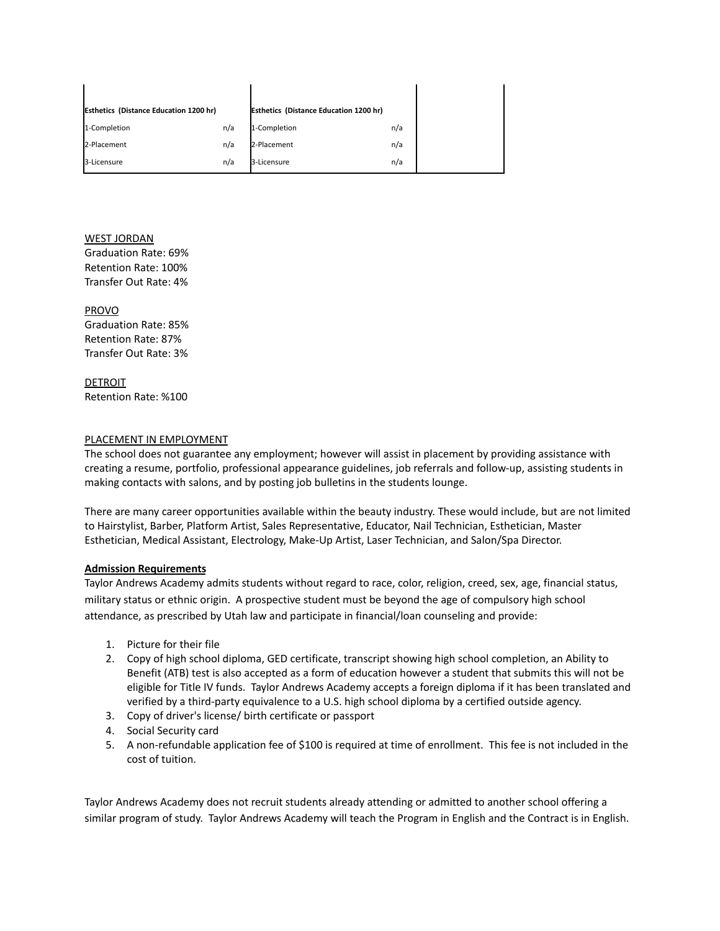| <b>Esthetics (Distance Education 1200 hr)</b> |     | <b>Esthetics (Distance Education 1200 hr)</b> |     |
|-----------------------------------------------|-----|-----------------------------------------------|-----|
| 1-Completion                                  | n/a | 1-Completion                                  | n/a |
| 2-Placement                                   | n/a | 2-Placement                                   | n/a |
| 3-Licensure                                   | n/a | 3-Licensure                                   | n/a |

# WEST JORDAN

Graduation Rate: 69% Retention Rate: 100% Transfer Out Rate: 4%

## PROVO

Graduation Rate: 85% Retention Rate: 87% Transfer Out Rate: 3%

**DETROIT** Retention Rate: %100

## PLACEMENT IN EMPLOYMENT

The school does not guarantee any employment; however will assist in placement by providing assistance with creating a resume, portfolio, professional appearance guidelines, job referrals and follow-up, assisting students in making contacts with salons, and by posting job bulletins in the students lounge.

There are many career opportunities available within the beauty industry. These would include, but are not limited to Hairstylist, Barber, Platform Artist, Sales Representative, Educator, Nail Technician, Esthetician, Master Esthetician, Medical Assistant, Electrology, Make-Up Artist, Laser Technician, and Salon/Spa Director.

## **Admission Requirements**

Taylor Andrews Academy admits students without regard to race, color, religion, creed, sex, age, financial status, military status or ethnic origin. A prospective student must be beyond the age of compulsory high school attendance, as prescribed by Utah law and participate in financial/loan counseling and provide:

- 1. Picture for their file
- 2. Copy of high school diploma, GED certificate, transcript showing high school completion, an Ability to Benefit (ATB) test is also accepted as a form of education however a student that submits this will not be eligible for Title IV funds. Taylor Andrews Academy accepts a foreign diploma if it has been translated and verified by a third-party equivalence to a U.S. high school diploma by a certified outside agency.
- 3. Copy of driver's license/ birth certificate or passport
- 4. Social Security card
- 5. A non-refundable application fee of \$100 is required at time of enrollment. This fee is not included in the cost of tuition.

Taylor Andrews Academy does not recruit students already attending or admitted to another school offering a similar program of study. Taylor Andrews Academy will teach the Program in English and the Contract is in English.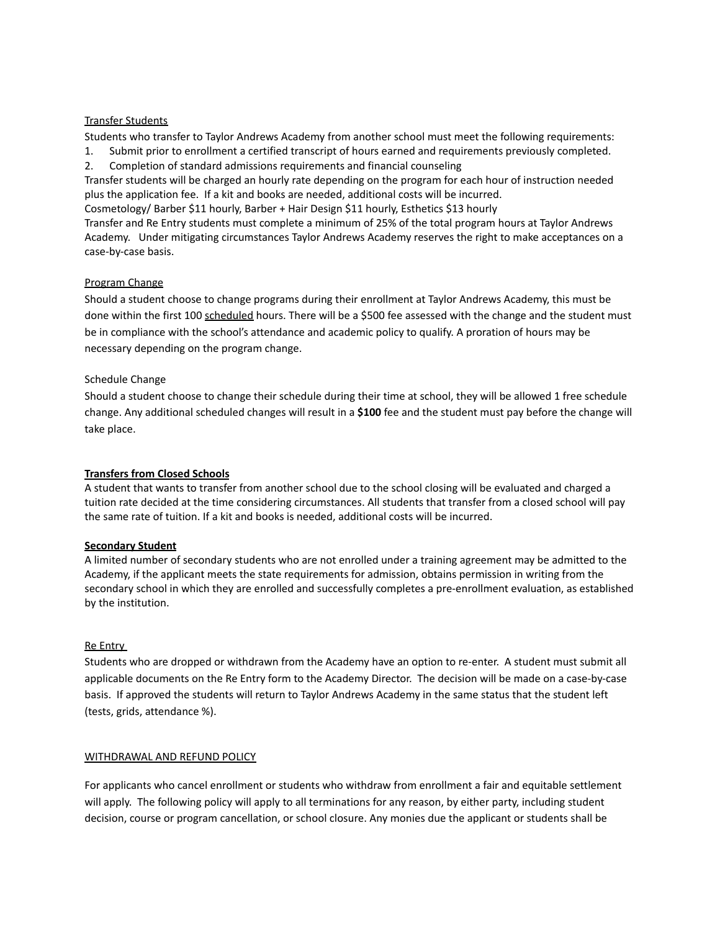### Transfer Students

Students who transfer to Taylor Andrews Academy from another school must meet the following requirements: 1. Submit prior to enrollment a certified transcript of hours earned and requirements previously completed.

2. Completion of standard admissions requirements and financial counseling

Transfer students will be charged an hourly rate depending on the program for each hour of instruction needed plus the application fee. If a kit and books are needed, additional costs will be incurred.

Cosmetology/ Barber \$11 hourly, Barber + Hair Design \$11 hourly, Esthetics \$13 hourly

Transfer and Re Entry students must complete a minimum of 25% of the total program hours at Taylor Andrews Academy. Under mitigating circumstances Taylor Andrews Academy reserves the right to make acceptances on a case-by-case basis.

## Program Change

Should a student choose to change programs during their enrollment at Taylor Andrews Academy, this must be done within the first 100 scheduled hours. There will be a \$500 fee assessed with the change and the student must be in compliance with the school's attendance and academic policy to qualify. A proration of hours may be necessary depending on the program change.

### Schedule Change

Should a student choose to change their schedule during their time at school, they will be allowed 1 free schedule change. Any additional scheduled changes will result in a **\$100** fee and the student must pay before the change will take place.

## **Transfers from Closed Schools**

A student that wants to transfer from another school due to the school closing will be evaluated and charged a tuition rate decided at the time considering circumstances. All students that transfer from a closed school will pay the same rate of tuition. If a kit and books is needed, additional costs will be incurred.

## **Secondary Student**

A limited number of secondary students who are not enrolled under a training agreement may be admitted to the Academy, if the applicant meets the state requirements for admission, obtains permission in writing from the secondary school in which they are enrolled and successfully completes a pre-enrollment evaluation, as established by the institution.

### Re Entry

Students who are dropped or withdrawn from the Academy have an option to re-enter. A student must submit all applicable documents on the Re Entry form to the Academy Director. The decision will be made on a case-by-case basis. If approved the students will return to Taylor Andrews Academy in the same status that the student left (tests, grids, attendance %).

## WITHDRAWAL AND REFUND POLICY

For applicants who cancel enrollment or students who withdraw from enrollment a fair and equitable settlement will apply. The following policy will apply to all terminations for any reason, by either party, including student decision, course or program cancellation, or school closure. Any monies due the applicant or students shall be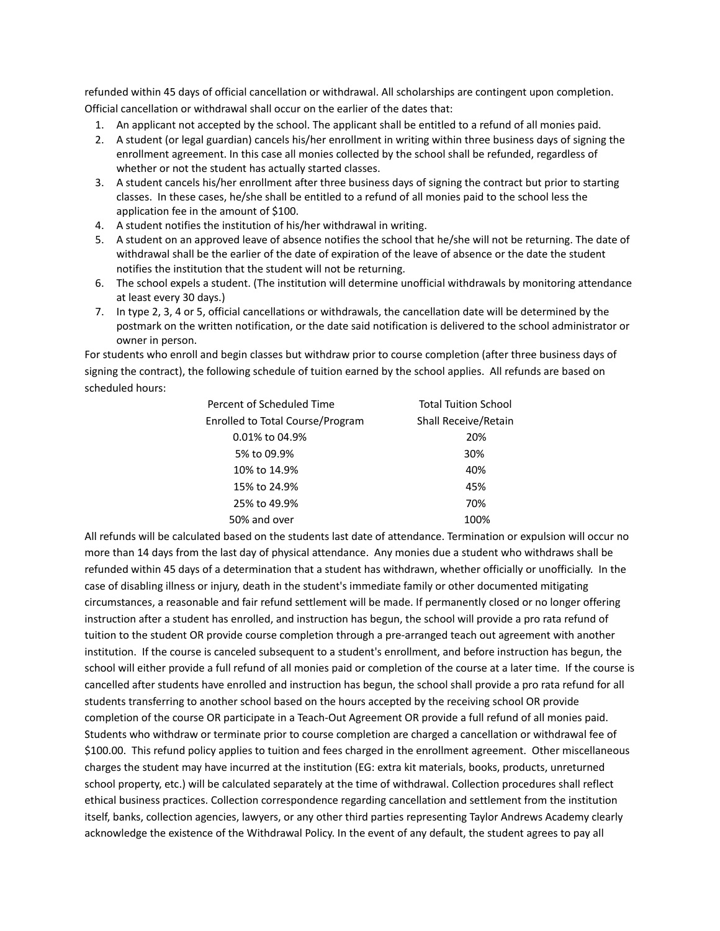refunded within 45 days of official cancellation or withdrawal. All scholarships are contingent upon completion. Official cancellation or withdrawal shall occur on the earlier of the dates that:

- 1. An applicant not accepted by the school. The applicant shall be entitled to a refund of all monies paid.
- 2. A student (or legal guardian) cancels his/her enrollment in writing within three business days of signing the enrollment agreement. In this case all monies collected by the school shall be refunded, regardless of whether or not the student has actually started classes.
- 3. A student cancels his/her enrollment after three business days of signing the contract but prior to starting classes. In these cases, he/she shall be entitled to a refund of all monies paid to the school less the application fee in the amount of \$100.
- 4. A student notifies the institution of his/her withdrawal in writing.
- 5. A student on an approved leave of absence notifies the school that he/she will not be returning. The date of withdrawal shall be the earlier of the date of expiration of the leave of absence or the date the student notifies the institution that the student will not be returning.
- 6. The school expels a student. (The institution will determine unofficial withdrawals by monitoring attendance at least every 30 days.)
- 7. In type 2, 3, 4 or 5, official cancellations or withdrawals, the cancellation date will be determined by the postmark on the written notification, or the date said notification is delivered to the school administrator or owner in person.

For students who enroll and begin classes but withdraw prior to course completion (after three business days of signing the contract), the following schedule of tuition earned by the school applies. All refunds are based on scheduled hours:

| Percent of Scheduled Time               | <b>Total Tuition School</b> |
|-----------------------------------------|-----------------------------|
| <b>Enrolled to Total Course/Program</b> | Shall Receive/Retain        |
| 0.01% to 04.9%                          | 20%                         |
| 5% to 09.9%                             | 30%                         |
| 10% to 14.9%                            | 40%                         |
| 15% to 24.9%                            | 45%                         |
| 25% to 49.9%                            | 70%                         |
| 50% and over                            | 100%                        |

All refunds will be calculated based on the students last date of attendance. Termination or expulsion will occur no more than 14 days from the last day of physical attendance. Any monies due a student who withdraws shall be refunded within 45 days of a determination that a student has withdrawn, whether officially or unofficially. In the case of disabling illness or injury, death in the student's immediate family or other documented mitigating circumstances, a reasonable and fair refund settlement will be made. If permanently closed or no longer offering instruction after a student has enrolled, and instruction has begun, the school will provide a pro rata refund of tuition to the student OR provide course completion through a pre-arranged teach out agreement with another institution. If the course is canceled subsequent to a student's enrollment, and before instruction has begun, the school will either provide a full refund of all monies paid or completion of the course at a later time. If the course is cancelled after students have enrolled and instruction has begun, the school shall provide a pro rata refund for all students transferring to another school based on the hours accepted by the receiving school OR provide completion of the course OR participate in a Teach-Out Agreement OR provide a full refund of all monies paid. Students who withdraw or terminate prior to course completion are charged a cancellation or withdrawal fee of \$100.00. This refund policy applies to tuition and fees charged in the enrollment agreement. Other miscellaneous charges the student may have incurred at the institution (EG: extra kit materials, books, products, unreturned school property, etc.) will be calculated separately at the time of withdrawal. Collection procedures shall reflect ethical business practices. Collection correspondence regarding cancellation and settlement from the institution itself, banks, collection agencies, lawyers, or any other third parties representing Taylor Andrews Academy clearly acknowledge the existence of the Withdrawal Policy. In the event of any default, the student agrees to pay all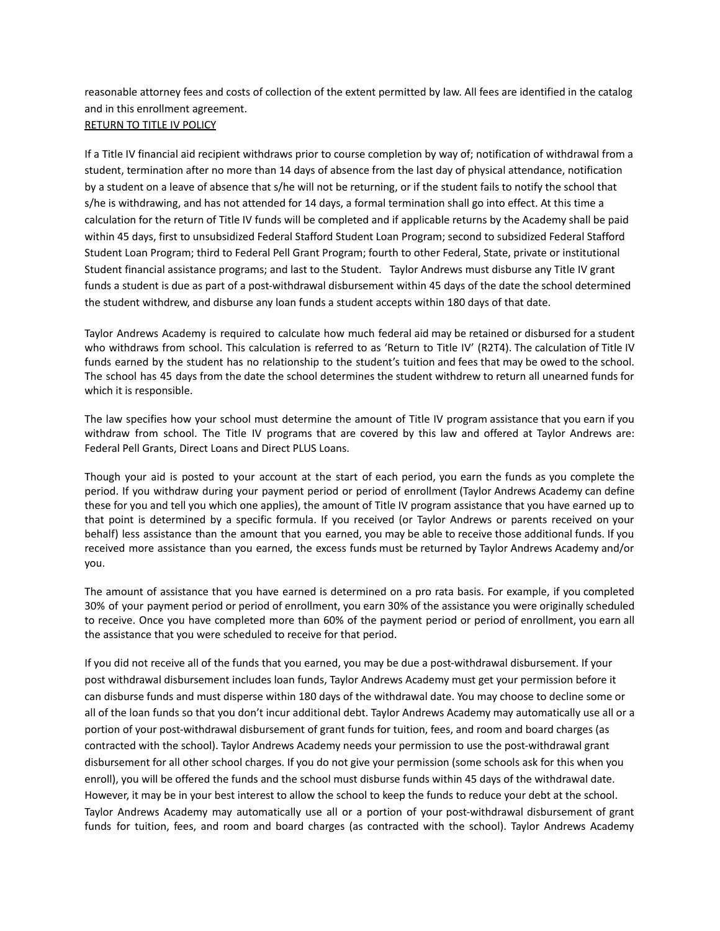reasonable attorney fees and costs of collection of the extent permitted by law. All fees are identified in the catalog and in this enrollment agreement.

## RETURN TO TITLE IV POLICY

If a Title IV financial aid recipient withdraws prior to course completion by way of; notification of withdrawal from a student, termination after no more than 14 days of absence from the last day of physical attendance, notification by a student on a leave of absence that s/he will not be returning, or if the student fails to notify the school that s/he is withdrawing, and has not attended for 14 days, a formal termination shall go into effect. At this time a calculation for the return of Title IV funds will be completed and if applicable returns by the Academy shall be paid within 45 days, first to unsubsidized Federal Stafford Student Loan Program; second to subsidized Federal Stafford Student Loan Program; third to Federal Pell Grant Program; fourth to other Federal, State, private or institutional Student financial assistance programs; and last to the Student. Taylor Andrews must disburse any Title IV grant funds a student is due as part of a post-withdrawal disbursement within 45 days of the date the school determined the student withdrew, and disburse any loan funds a student accepts within 180 days of that date.

Taylor Andrews Academy is required to calculate how much federal aid may be retained or disbursed for a student who withdraws from school. This calculation is referred to as 'Return to Title IV' (R2T4). The calculation of Title IV funds earned by the student has no relationship to the student's tuition and fees that may be owed to the school. The school has 45 days from the date the school determines the student withdrew to return all unearned funds for which it is responsible.

The law specifies how your school must determine the amount of Title IV program assistance that you earn if you withdraw from school. The Title IV programs that are covered by this law and offered at Taylor Andrews are: Federal Pell Grants, Direct Loans and Direct PLUS Loans.

Though your aid is posted to your account at the start of each period, you earn the funds as you complete the period. If you withdraw during your payment period or period of enrollment (Taylor Andrews Academy can define these for you and tell you which one applies), the amount of Title IV program assistance that you have earned up to that point is determined by a specific formula. If you received (or Taylor Andrews or parents received on your behalf) less assistance than the amount that you earned, you may be able to receive those additional funds. If you received more assistance than you earned, the excess funds must be returned by Taylor Andrews Academy and/or you.

The amount of assistance that you have earned is determined on a pro rata basis. For example, if you completed 30% of your payment period or period of enrollment, you earn 30% of the assistance you were originally scheduled to receive. Once you have completed more than 60% of the payment period or period of enrollment, you earn all the assistance that you were scheduled to receive for that period.

If you did not receive all of the funds that you earned, you may be due a post-withdrawal disbursement. If your post withdrawal disbursement includes loan funds, Taylor Andrews Academy must get your permission before it can disburse funds and must disperse within 180 days of the withdrawal date. You may choose to decline some or all of the loan funds so that you don't incur additional debt. Taylor Andrews Academy may automatically use all or a portion of your post-withdrawal disbursement of grant funds for tuition, fees, and room and board charges (as contracted with the school). Taylor Andrews Academy needs your permission to use the post-withdrawal grant disbursement for all other school charges. If you do not give your permission (some schools ask for this when you enroll), you will be offered the funds and the school must disburse funds within 45 days of the withdrawal date. However, it may be in your best interest to allow the school to keep the funds to reduce your debt at the school. Taylor Andrews Academy may automatically use all or a portion of your post-withdrawal disbursement of grant funds for tuition, fees, and room and board charges (as contracted with the school). Taylor Andrews Academy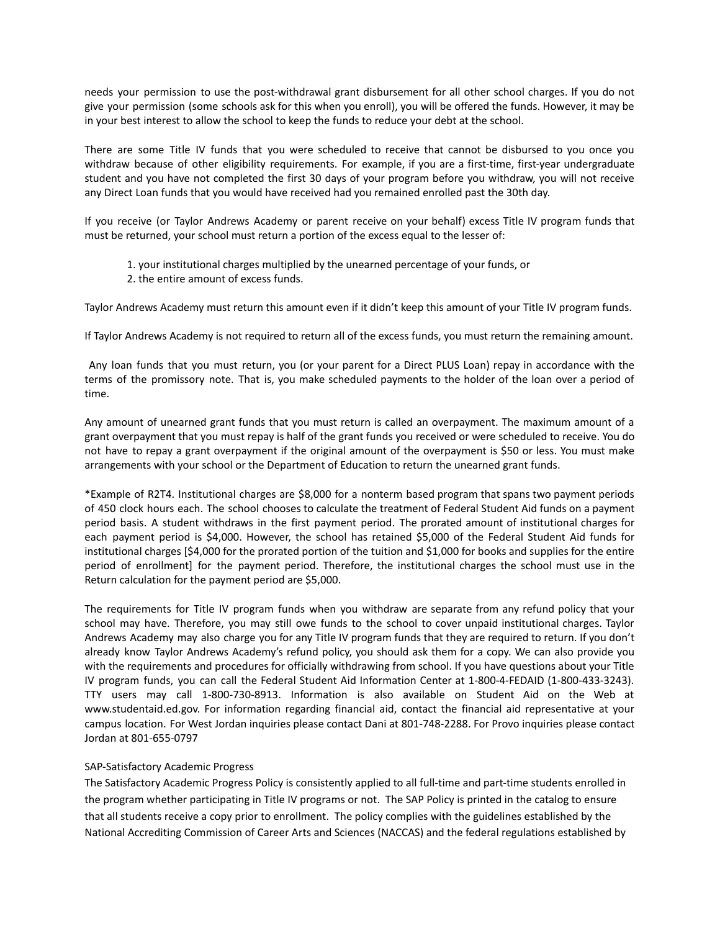needs your permission to use the post-withdrawal grant disbursement for all other school charges. If you do not give your permission (some schools ask for this when you enroll), you will be offered the funds. However, it may be in your best interest to allow the school to keep the funds to reduce your debt at the school.

There are some Title IV funds that you were scheduled to receive that cannot be disbursed to you once you withdraw because of other eligibility requirements. For example, if you are a first-time, first-year undergraduate student and you have not completed the first 30 days of your program before you withdraw, you will not receive any Direct Loan funds that you would have received had you remained enrolled past the 30th day.

If you receive (or Taylor Andrews Academy or parent receive on your behalf) excess Title IV program funds that must be returned, your school must return a portion of the excess equal to the lesser of:

- 1. your institutional charges multiplied by the unearned percentage of your funds, or
- 2. the entire amount of excess funds.

Taylor Andrews Academy must return this amount even if it didn't keep this amount of your Title IV program funds.

If Taylor Andrews Academy is not required to return all of the excess funds, you must return the remaining amount.

Any loan funds that you must return, you (or your parent for a Direct PLUS Loan) repay in accordance with the terms of the promissory note. That is, you make scheduled payments to the holder of the loan over a period of time.

Any amount of unearned grant funds that you must return is called an overpayment. The maximum amount of a grant overpayment that you must repay is half of the grant funds you received or were scheduled to receive. You do not have to repay a grant overpayment if the original amount of the overpayment is \$50 or less. You must make arrangements with your school or the Department of Education to return the unearned grant funds.

\*Example of R2T4. Institutional charges are \$8,000 for a nonterm based program that spans two payment periods of 450 clock hours each. The school chooses to calculate the treatment of Federal Student Aid funds on a payment period basis. A student withdraws in the first payment period. The prorated amount of institutional charges for each payment period is \$4,000. However, the school has retained \$5,000 of the Federal Student Aid funds for institutional charges [\$4,000 for the prorated portion of the tuition and \$1,000 for books and supplies for the entire period of enrollment] for the payment period. Therefore, the institutional charges the school must use in the Return calculation for the payment period are \$5,000.

The requirements for Title IV program funds when you withdraw are separate from any refund policy that your school may have. Therefore, you may still owe funds to the school to cover unpaid institutional charges. Taylor Andrews Academy may also charge you for any Title IV program funds that they are required to return. If you don't already know Taylor Andrews Academy's refund policy, you should ask them for a copy. We can also provide you with the requirements and procedures for officially withdrawing from school. If you have questions about your Title IV program funds, you can call the Federal Student Aid Information Center at 1-800-4-FEDAID (1-800-433-3243). TTY users may call 1-800-730-8913. Information is also available on Student Aid on the Web at www.studentaid.ed.gov. For information regarding financial aid, contact the financial aid representative at your campus location. For West Jordan inquiries please contact Dani at 801-748-2288. For Provo inquiries please contact Jordan at 801-655-0797

## SAP-Satisfactory Academic Progress

The Satisfactory Academic Progress Policy is consistently applied to all full-time and part-time students enrolled in the program whether participating in Title IV programs or not. The SAP Policy is printed in the catalog to ensure that all students receive a copy prior to enrollment. The policy complies with the guidelines established by the National Accrediting Commission of Career Arts and Sciences (NACCAS) and the federal regulations established by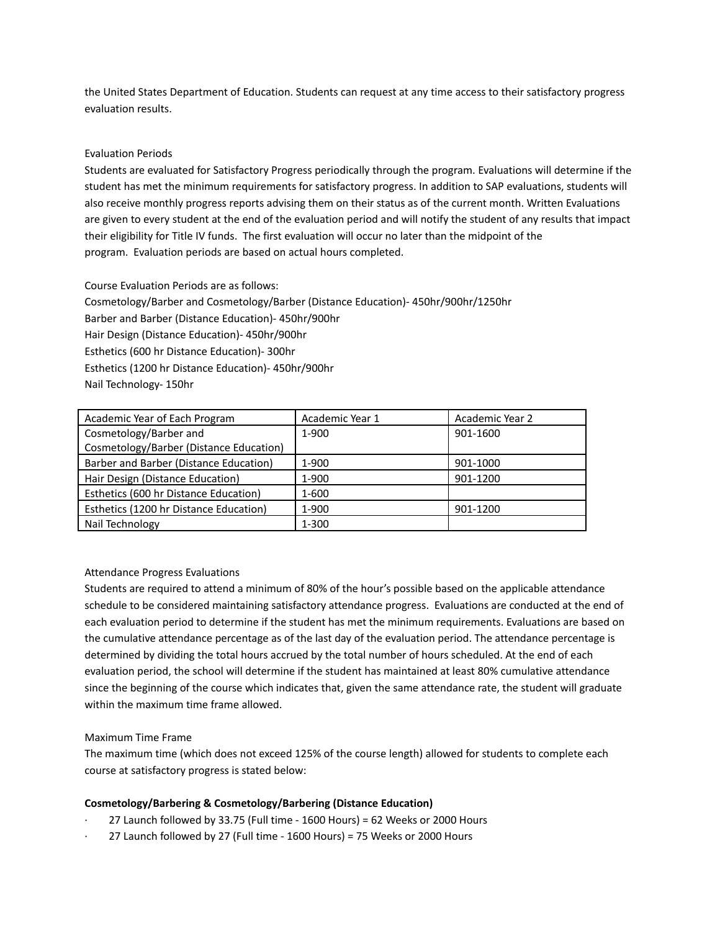the United States Department of Education. Students can request at any time access to their satisfactory progress evaluation results.

### Evaluation Periods

Students are evaluated for Satisfactory Progress periodically through the program. Evaluations will determine if the student has met the minimum requirements for satisfactory progress. In addition to SAP evaluations, students will also receive monthly progress reports advising them on their status as of the current month. Written Evaluations are given to every student at the end of the evaluation period and will notify the student of any results that impact their eligibility for Title IV funds. The first evaluation will occur no later than the midpoint of the program. Evaluation periods are based on actual hours completed.

Course Evaluation Periods are as follows: Cosmetology/Barber and Cosmetology/Barber (Distance Education)- 450hr/900hr/1250hr Barber and Barber (Distance Education)- 450hr/900hr Hair Design (Distance Education)- 450hr/900hr Esthetics (600 hr Distance Education)- 300hr Esthetics (1200 hr Distance Education)- 450hr/900hr Nail Technology- 150hr

| Academic Year of Each Program           | Academic Year 1 | Academic Year 2 |
|-----------------------------------------|-----------------|-----------------|
| Cosmetology/Barber and                  | $1 - 900$       | 901-1600        |
| Cosmetology/Barber (Distance Education) |                 |                 |
| Barber and Barber (Distance Education)  | 1-900           | 901-1000        |
| Hair Design (Distance Education)        | 1-900           | 901-1200        |
| Esthetics (600 hr Distance Education)   | 1-600           |                 |
| Esthetics (1200 hr Distance Education)  | $1 - 900$       | 901-1200        |
| Nail Technology                         | $1 - 300$       |                 |

## Attendance Progress Evaluations

Students are required to attend a minimum of 80% of the hour's possible based on the applicable attendance schedule to be considered maintaining satisfactory attendance progress. Evaluations are conducted at the end of each evaluation period to determine if the student has met the minimum requirements. Evaluations are based on the cumulative attendance percentage as of the last day of the evaluation period. The attendance percentage is determined by dividing the total hours accrued by the total number of hours scheduled. At the end of each evaluation period, the school will determine if the student has maintained at least 80% cumulative attendance since the beginning of the course which indicates that, given the same attendance rate, the student will graduate within the maximum time frame allowed.

#### Maximum Time Frame

The maximum time (which does not exceed 125% of the course length) allowed for students to complete each course at satisfactory progress is stated below:

## **Cosmetology/Barbering & Cosmetology/Barbering (Distance Education)**

- · 27 Launch followed by 33.75 (Full time 1600 Hours) = 62 Weeks or 2000 Hours
- · 27 Launch followed by 27 (Full time 1600 Hours) = 75 Weeks or 2000 Hours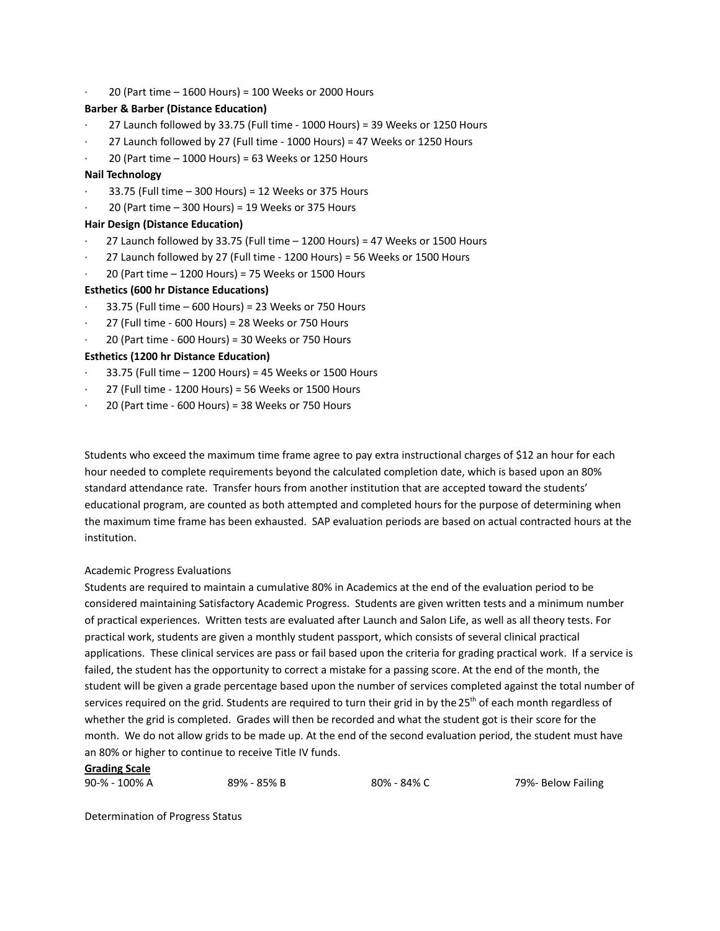· 20 (Part time – 1600 Hours) = 100 Weeks or 2000 Hours

#### **Barber & Barber (Distance Education)**

- · 27 Launch followed by 33.75 (Full time 1000 Hours) = 39 Weeks or 1250 Hours
- · 27 Launch followed by 27 (Full time 1000 Hours) = 47 Weeks or 1250 Hours
- $20$  (Part time  $-1000$  Hours) = 63 Weeks or 1250 Hours

#### **Nail Technology**

- · 33.75 (Full time 300 Hours) = 12 Weeks or 375 Hours
- $20$  (Part time  $-$  300 Hours) = 19 Weeks or 375 Hours

### **Hair Design (Distance Education)**

- 27 Launch followed by 33.75 (Full time  $-1200$  Hours) = 47 Weeks or 1500 Hours
- · 27 Launch followed by 27 (Full time 1200 Hours) = 56 Weeks or 1500 Hours
- $20$  (Part time  $-$  1200 Hours) = 75 Weeks or 1500 Hours

### **Esthetics (600 hr Distance Educations)**

- · 33.75 (Full time 600 Hours) = 23 Weeks or 750 Hours
- · 27 (Full time 600 Hours) = 28 Weeks or 750 Hours
- · 20 (Part time 600 Hours) = 30 Weeks or 750 Hours

## **Esthetics (1200 hr Distance Education)**

- · 33.75 (Full time 1200 Hours) = 45 Weeks or 1500 Hours
- · 27 (Full time 1200 Hours) = 56 Weeks or 1500 Hours
- · 20 (Part time 600 Hours) = 38 Weeks or 750 Hours

Students who exceed the maximum time frame agree to pay extra instructional charges of \$12 an hour for each hour needed to complete requirements beyond the calculated completion date, which is based upon an 80% standard attendance rate. Transfer hours from another institution that are accepted toward the students' educational program, are counted as both attempted and completed hours for the purpose of determining when the maximum time frame has been exhausted. SAP evaluation periods are based on actual contracted hours at the institution.

#### Academic Progress Evaluations

Students are required to maintain a cumulative 80% in Academics at the end of the evaluation period to be considered maintaining Satisfactory Academic Progress. Students are given written tests and a minimum number of practical experiences. Written tests are evaluated after Launch and Salon Life, as well as all theory tests. For practical work, students are given a monthly student passport, which consists of several clinical practical applications. These clinical services are pass or fail based upon the criteria for grading practical work. If a service is failed, the student has the opportunity to correct a mistake for a passing score. At the end of the month, the student will be given a grade percentage based upon the number of services completed against the total number of services required on the grid. Students are required to turn their grid in by the 25<sup>th</sup> of each month regardless of whether the grid is completed. Grades will then be recorded and what the student got is their score for the month. We do not allow grids to be made up. At the end of the second evaluation period, the student must have an 80% or higher to continue to receive Title IV funds.

## **Grading Scale**

90-% - 100% A 89% - 85% B 80% - 84% C 80% - 84% C 80% - 84% C

Determination of Progress Status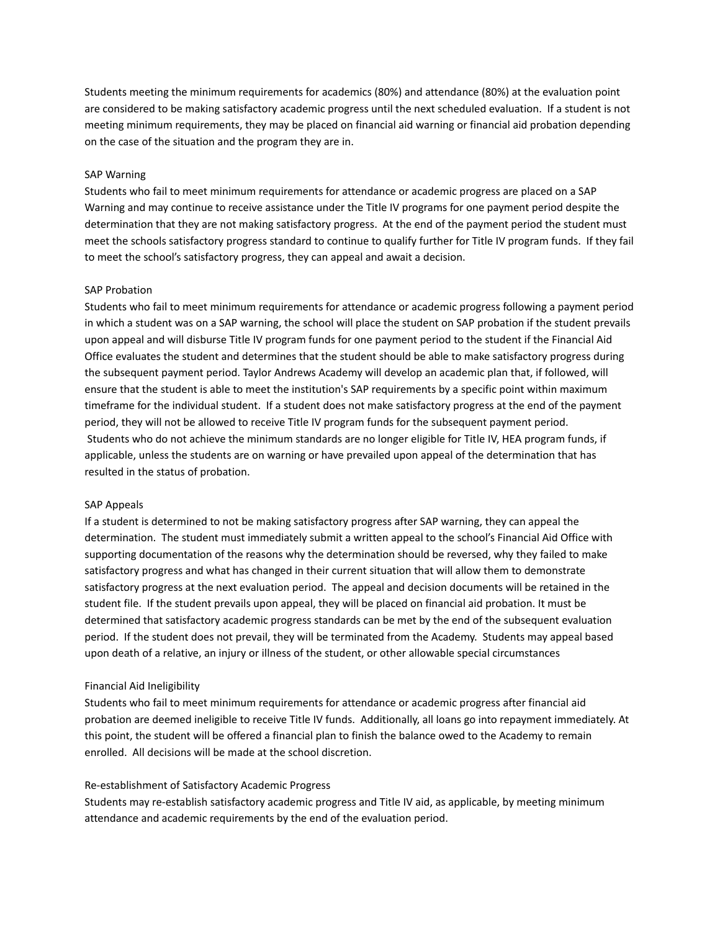Students meeting the minimum requirements for academics (80%) and attendance (80%) at the evaluation point are considered to be making satisfactory academic progress until the next scheduled evaluation. If a student is not meeting minimum requirements, they may be placed on financial aid warning or financial aid probation depending on the case of the situation and the program they are in.

#### SAP Warning

Students who fail to meet minimum requirements for attendance or academic progress are placed on a SAP Warning and may continue to receive assistance under the Title IV programs for one payment period despite the determination that they are not making satisfactory progress. At the end of the payment period the student must meet the schools satisfactory progress standard to continue to qualify further for Title IV program funds. If they fail to meet the school's satisfactory progress, they can appeal and await a decision.

#### SAP Probation

Students who fail to meet minimum requirements for attendance or academic progress following a payment period in which a student was on a SAP warning, the school will place the student on SAP probation if the student prevails upon appeal and will disburse Title IV program funds for one payment period to the student if the Financial Aid Office evaluates the student and determines that the student should be able to make satisfactory progress during the subsequent payment period. Taylor Andrews Academy will develop an academic plan that, if followed, will ensure that the student is able to meet the institution's SAP requirements by a specific point within maximum timeframe for the individual student. If a student does not make satisfactory progress at the end of the payment period, they will not be allowed to receive Title IV program funds for the subsequent payment period. Students who do not achieve the minimum standards are no longer eligible for Title IV, HEA program funds, if applicable, unless the students are on warning or have prevailed upon appeal of the determination that has resulted in the status of probation.

#### SAP Appeals

If a student is determined to not be making satisfactory progress after SAP warning, they can appeal the determination. The student must immediately submit a written appeal to the school's Financial Aid Office with supporting documentation of the reasons why the determination should be reversed, why they failed to make satisfactory progress and what has changed in their current situation that will allow them to demonstrate satisfactory progress at the next evaluation period. The appeal and decision documents will be retained in the student file. If the student prevails upon appeal, they will be placed on financial aid probation. It must be determined that satisfactory academic progress standards can be met by the end of the subsequent evaluation period. If the student does not prevail, they will be terminated from the Academy. Students may appeal based upon death of a relative, an injury or illness of the student, or other allowable special circumstances

#### Financial Aid Ineligibility

Students who fail to meet minimum requirements for attendance or academic progress after financial aid probation are deemed ineligible to receive Title IV funds. Additionally, all loans go into repayment immediately. At this point, the student will be offered a financial plan to finish the balance owed to the Academy to remain enrolled. All decisions will be made at the school discretion.

#### Re-establishment of Satisfactory Academic Progress

Students may re-establish satisfactory academic progress and Title IV aid, as applicable, by meeting minimum attendance and academic requirements by the end of the evaluation period.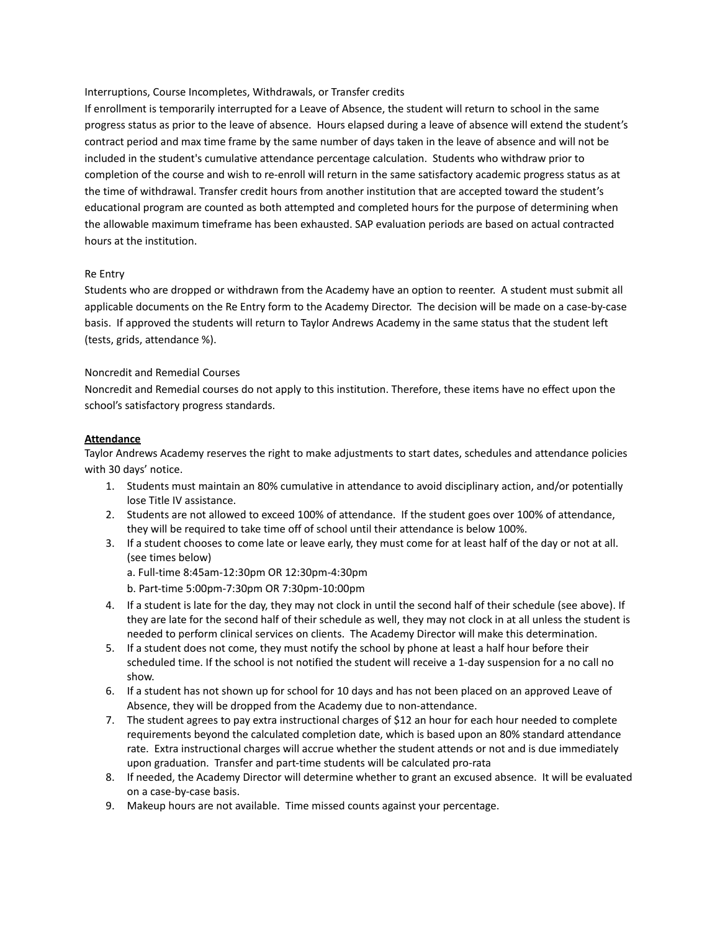Interruptions, Course Incompletes, Withdrawals, or Transfer credits

If enrollment is temporarily interrupted for a Leave of Absence, the student will return to school in the same progress status as prior to the leave of absence. Hours elapsed during a leave of absence will extend the student's contract period and max time frame by the same number of days taken in the leave of absence and will not be included in the student's cumulative attendance percentage calculation. Students who withdraw prior to completion of the course and wish to re-enroll will return in the same satisfactory academic progress status as at the time of withdrawal. Transfer credit hours from another institution that are accepted toward the student's educational program are counted as both attempted and completed hours for the purpose of determining when the allowable maximum timeframe has been exhausted. SAP evaluation periods are based on actual contracted hours at the institution.

## Re Entry

Students who are dropped or withdrawn from the Academy have an option to reenter. A student must submit all applicable documents on the Re Entry form to the Academy Director. The decision will be made on a case-by-case basis. If approved the students will return to Taylor Andrews Academy in the same status that the student left (tests, grids, attendance %).

### Noncredit and Remedial Courses

Noncredit and Remedial courses do not apply to this institution. Therefore, these items have no effect upon the school's satisfactory progress standards.

### **Attendance**

Taylor Andrews Academy reserves the right to make adjustments to start dates, schedules and attendance policies with 30 days' notice.

- 1. Students must maintain an 80% cumulative in attendance to avoid disciplinary action, and/or potentially lose Title IV assistance.
- 2. Students are not allowed to exceed 100% of attendance. If the student goes over 100% of attendance, they will be required to take time off of school until their attendance is below 100%.
- 3. If a student chooses to come late or leave early, they must come for at least half of the day or not at all. (see times below)
	- a. Full-time 8:45am-12:30pm OR 12:30pm-4:30pm
	- b. Part-time 5:00pm-7:30pm OR 7:30pm-10:00pm
- 4. If a student is late for the day, they may not clock in until the second half of their schedule (see above). If they are late for the second half of their schedule as well, they may not clock in at all unless the student is needed to perform clinical services on clients. The Academy Director will make this determination.
- 5. If a student does not come, they must notify the school by phone at least a half hour before their scheduled time. If the school is not notified the student will receive a 1-day suspension for a no call no show.
- 6. If a student has not shown up for school for 10 days and has not been placed on an approved Leave of Absence, they will be dropped from the Academy due to non-attendance.
- 7. The student agrees to pay extra instructional charges of \$12 an hour for each hour needed to complete requirements beyond the calculated completion date, which is based upon an 80% standard attendance rate. Extra instructional charges will accrue whether the student attends or not and is due immediately upon graduation. Transfer and part-time students will be calculated pro-rata
- 8. If needed, the Academy Director will determine whether to grant an excused absence. It will be evaluated on a case-by-case basis.
- 9. Makeup hours are not available. Time missed counts against your percentage.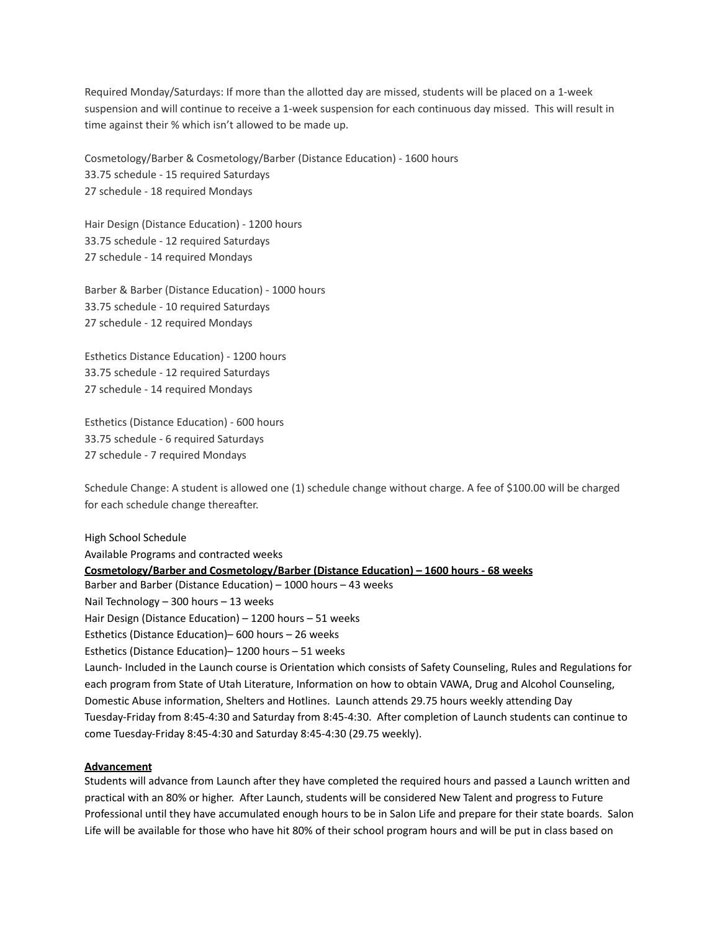Required Monday/Saturdays: If more than the allotted day are missed, students will be placed on a 1-week suspension and will continue to receive a 1-week suspension for each continuous day missed. This will result in time against their % which isn't allowed to be made up.

Cosmetology/Barber & Cosmetology/Barber (Distance Education) - 1600 hours 33.75 schedule - 15 required Saturdays 27 schedule - 18 required Mondays

Hair Design (Distance Education) - 1200 hours 33.75 schedule - 12 required Saturdays 27 schedule - 14 required Mondays

Barber & Barber (Distance Education) - 1000 hours 33.75 schedule - 10 required Saturdays 27 schedule - 12 required Mondays

Esthetics Distance Education) - 1200 hours 33.75 schedule - 12 required Saturdays 27 schedule - 14 required Mondays

Esthetics (Distance Education) - 600 hours 33.75 schedule - 6 required Saturdays 27 schedule - 7 required Mondays

Schedule Change: A student is allowed one (1) schedule change without charge. A fee of \$100.00 will be charged for each schedule change thereafter.

High School Schedule Available Programs and contracted weeks **Cosmetology/Barber and Cosmetology/Barber (Distance Education) – 1600 hours - 68 weeks** Barber and Barber (Distance Education) – 1000 hours – 43 weeks Nail Technology – 300 hours – 13 weeks Hair Design (Distance Education) – 1200 hours – 51 weeks Esthetics (Distance Education)– 600 hours – 26 weeks Esthetics (Distance Education)– 1200 hours – 51 weeks Launch- Included in the Launch course is Orientation which consists of Safety Counseling, Rules and Regulations for each program from State of Utah Literature, Information on how to obtain VAWA, Drug and Alcohol Counseling, Domestic Abuse information, Shelters and Hotlines. Launch attends 29.75 hours weekly attending Day Tuesday-Friday from 8:45-4:30 and Saturday from 8:45-4:30. After completion of Launch students can continue to come Tuesday-Friday 8:45-4:30 and Saturday 8:45-4:30 (29.75 weekly).

#### **Advancement**

Students will advance from Launch after they have completed the required hours and passed a Launch written and practical with an 80% or higher. After Launch, students will be considered New Talent and progress to Future Professional until they have accumulated enough hours to be in Salon Life and prepare for their state boards. Salon Life will be available for those who have hit 80% of their school program hours and will be put in class based on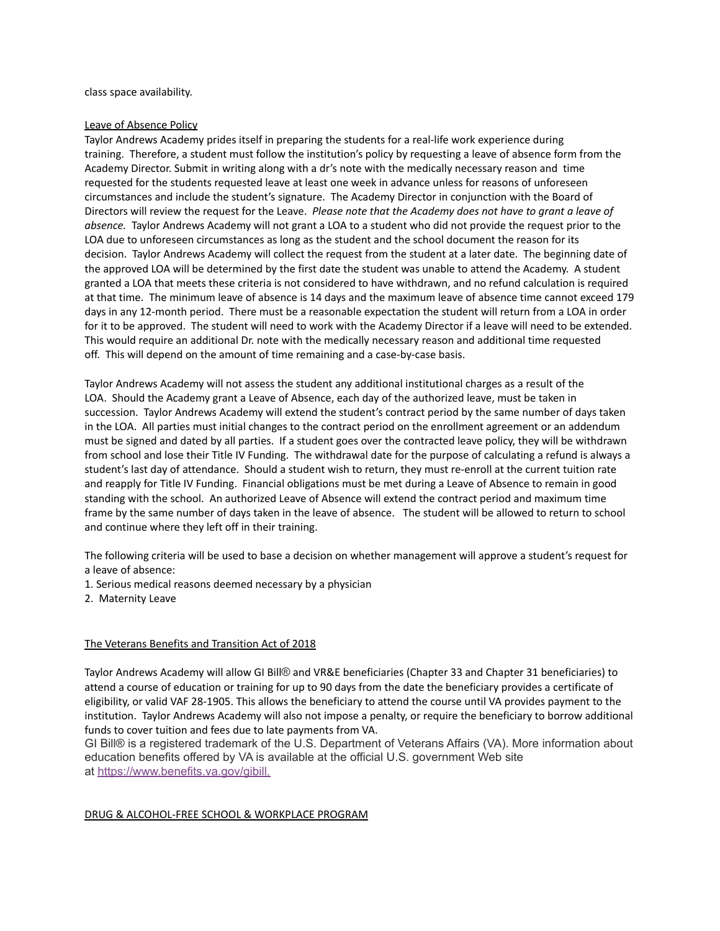class space availability.

#### Leave of Absence Policy

Taylor Andrews Academy prides itself in preparing the students for a real-life work experience during training. Therefore, a student must follow the institution's policy by requesting a leave of absence form from the Academy Director. Submit in writing along with a dr's note with the medically necessary reason and time requested for the students requested leave at least one week in advance unless for reasons of unforeseen circumstances and include the student's signature. The Academy Director in conjunction with the Board of Directors will review the request for the Leave. *Please note that the Academy does not have to grant a leave of absence.* Taylor Andrews Academy will not grant a LOA to a student who did not provide the request prior to the LOA due to unforeseen circumstances as long as the student and the school document the reason for its decision. Taylor Andrews Academy will collect the request from the student at a later date. The beginning date of the approved LOA will be determined by the first date the student was unable to attend the Academy. A student granted a LOA that meets these criteria is not considered to have withdrawn, and no refund calculation is required at that time. The minimum leave of absence is 14 days and the maximum leave of absence time cannot exceed 179 days in any 12-month period. There must be a reasonable expectation the student will return from a LOA in order for it to be approved. The student will need to work with the Academy Director if a leave will need to be extended. This would require an additional Dr. note with the medically necessary reason and additional time requested off. This will depend on the amount of time remaining and a case-by-case basis.

Taylor Andrews Academy will not assess the student any additional institutional charges as a result of the LOA. Should the Academy grant a Leave of Absence, each day of the authorized leave, must be taken in succession. Taylor Andrews Academy will extend the student's contract period by the same number of days taken in the LOA. All parties must initial changes to the contract period on the enrollment agreement or an addendum must be signed and dated by all parties. If a student goes over the contracted leave policy, they will be withdrawn from school and lose their Title IV Funding. The withdrawal date for the purpose of calculating a refund is always a student's last day of attendance. Should a student wish to return, they must re-enroll at the current tuition rate and reapply for Title IV Funding. Financial obligations must be met during a Leave of Absence to remain in good standing with the school. An authorized Leave of Absence will extend the contract period and maximum time frame by the same number of days taken in the leave of absence. The student will be allowed to return to school and continue where they left off in their training.

The following criteria will be used to base a decision on whether management will approve a student's request for a leave of absence:

1. Serious medical reasons deemed necessary by a physician

2. Maternity Leave

#### The Veterans Benefits and Transition Act of 2018

Taylor Andrews Academy will allow GI Bill® and VR&E beneficiaries (Chapter 33 and Chapter 31 beneficiaries) to attend a course of education or training for up to 90 days from the date the beneficiary provides a certificate of eligibility, or valid VAF 28-1905. This allows the beneficiary to attend the course until VA provides payment to the institution. Taylor Andrews Academy will also not impose a penalty, or require the beneficiary to borrow additional funds to cover tuition and fees due to late payments from VA.

GI Bill® is a registered trademark of the U.S. Department of Veterans Affairs (VA). More information about education benefits offered by VA is available at the official U.S. government Web site at [https://www.benefits.va.gov/gibill.](https://benefits.va.gov/gibill/index.asp)

#### DRUG & ALCOHOL-FREE SCHOOL & WORKPLACE PROGRAM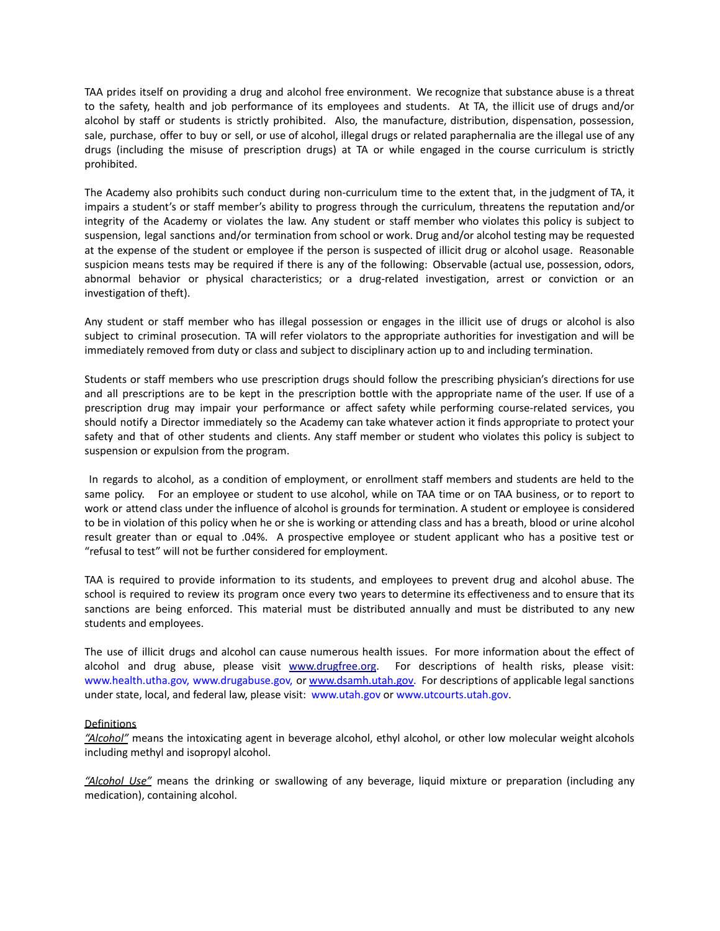TAA prides itself on providing a drug and alcohol free environment. We recognize that substance abuse is a threat to the safety, health and job performance of its employees and students. At TA, the illicit use of drugs and/or alcohol by staff or students is strictly prohibited. Also, the manufacture, distribution, dispensation, possession, sale, purchase, offer to buy or sell, or use of alcohol, illegal drugs or related paraphernalia are the illegal use of any drugs (including the misuse of prescription drugs) at TA or while engaged in the course curriculum is strictly prohibited.

The Academy also prohibits such conduct during non-curriculum time to the extent that, in the judgment of TA, it impairs a student's or staff member's ability to progress through the curriculum, threatens the reputation and/or integrity of the Academy or violates the law. Any student or staff member who violates this policy is subject to suspension, legal sanctions and/or termination from school or work. Drug and/or alcohol testing may be requested at the expense of the student or employee if the person is suspected of illicit drug or alcohol usage. Reasonable suspicion means tests may be required if there is any of the following: Observable (actual use, possession, odors, abnormal behavior or physical characteristics; or a drug-related investigation, arrest or conviction or an investigation of theft).

Any student or staff member who has illegal possession or engages in the illicit use of drugs or alcohol is also subject to criminal prosecution. TA will refer violators to the appropriate authorities for investigation and will be immediately removed from duty or class and subject to disciplinary action up to and including termination.

Students or staff members who use prescription drugs should follow the prescribing physician's directions for use and all prescriptions are to be kept in the prescription bottle with the appropriate name of the user. If use of a prescription drug may impair your performance or affect safety while performing course-related services, you should notify a Director immediately so the Academy can take whatever action it finds appropriate to protect your safety and that of other students and clients. Any staff member or student who violates this policy is subject to suspension or expulsion from the program.

In regards to alcohol, as a condition of employment, or enrollment staff members and students are held to the same policy. For an employee or student to use alcohol, while on TAA time or on TAA business, or to report to work or attend class under the influence of alcohol is grounds for termination. A student or employee is considered to be in violation of this policy when he or she is working or attending class and has a breath, blood or urine alcohol result greater than or equal to .04%. A prospective employee or student applicant who has a positive test or "refusal to test" will not be further considered for employment.

TAA is required to provide information to its students, and employees to prevent drug and alcohol abuse. The school is required to review its program once every two years to determine its effectiveness and to ensure that its sanctions are being enforced. This material must be distributed annually and must be distributed to any new students and employees.

The use of illicit drugs and alcohol can cause numerous health issues. For more information about the effect of alcohol and drug abuse, please visit [www.drugfree.org](http://www.drugfree.org). For descriptions of health risks, please visit: www.health.utha.gov, www.drugabuse.gov, or [www.dsamh.utah.gov.](http://www.dsamh.utah.gov) For descriptions of applicable legal sanctions under state, local, and federal law, please visit: www.utah.gov or www.utcourts.utah.gov.

#### Definitions

*"Alcohol"* means the intoxicating agent in beverage alcohol, ethyl alcohol, or other low molecular weight alcohols including methyl and isopropyl alcohol.

*"Alcohol Use"* means the drinking or swallowing of any beverage, liquid mixture or preparation (including any medication), containing alcohol.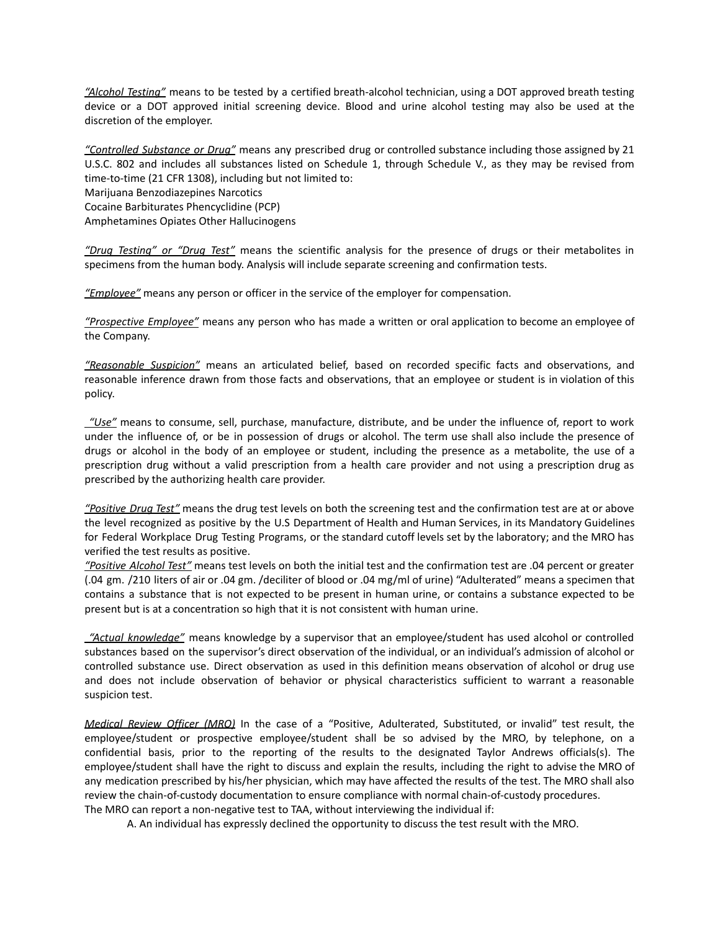*"Alcohol Testing"* means to be tested by a certified breath-alcohol technician, using a DOT approved breath testing device or a DOT approved initial screening device. Blood and urine alcohol testing may also be used at the discretion of the employer.

*"Controlled Substance or Drug"* means any prescribed drug or controlled substance including those assigned by 21 U.S.C. 802 and includes all substances listed on Schedule 1, through Schedule V., as they may be revised from time-to-time (21 CFR 1308), including but not limited to: Marijuana Benzodiazepines Narcotics Cocaine Barbiturates Phencyclidine (PCP) Amphetamines Opiates Other Hallucinogens

*"Drug Testing" or "Drug Test"* means the scientific analysis for the presence of drugs or their metabolites in specimens from the human body. Analysis will include separate screening and confirmation tests.

*"Employee"* means any person or officer in the service of the employer for compensation.

*"Prospective Employee"* means any person who has made a written or oral application to become an employee of the Company.

*"Reasonable Suspicion"* means an articulated belief, based on recorded specific facts and observations, and reasonable inference drawn from those facts and observations, that an employee or student is in violation of this policy.

*"Use"* means to consume, sell, purchase, manufacture, distribute, and be under the influence of, report to work under the influence of, or be in possession of drugs or alcohol. The term use shall also include the presence of drugs or alcohol in the body of an employee or student, including the presence as a metabolite, the use of a prescription drug without a valid prescription from a health care provider and not using a prescription drug as prescribed by the authorizing health care provider.

*"Positive Drug Test"* means the drug test levels on both the screening test and the confirmation test are at or above the level recognized as positive by the U.S Department of Health and Human Services, in its Mandatory Guidelines for Federal Workplace Drug Testing Programs, or the standard cutoff levels set by the laboratory; and the MRO has verified the test results as positive.

*"Positive Alcohol Test"* means test levels on both the initial test and the confirmation test are .04 percent or greater (.04 gm. /210 liters of air or .04 gm. /deciliter of blood or .04 mg/ml of urine) "Adulterated" means a specimen that contains a substance that is not expected to be present in human urine, or contains a substance expected to be present but is at a concentration so high that it is not consistent with human urine.

*"Actual knowledge"* means knowledge by a supervisor that an employee/student has used alcohol or controlled substances based on the supervisor's direct observation of the individual, or an individual's admission of alcohol or controlled substance use. Direct observation as used in this definition means observation of alcohol or drug use and does not include observation of behavior or physical characteristics sufficient to warrant a reasonable suspicion test.

*Medical Review Officer (MRO)* In the case of a "Positive, Adulterated, Substituted, or invalid" test result, the employee/student or prospective employee/student shall be so advised by the MRO, by telephone, on a confidential basis, prior to the reporting of the results to the designated Taylor Andrews officials(s). The employee/student shall have the right to discuss and explain the results, including the right to advise the MRO of any medication prescribed by his/her physician, which may have affected the results of the test. The MRO shall also review the chain-of-custody documentation to ensure compliance with normal chain-of-custody procedures. The MRO can report a non-negative test to TAA, without interviewing the individual if:

A. An individual has expressly declined the opportunity to discuss the test result with the MRO.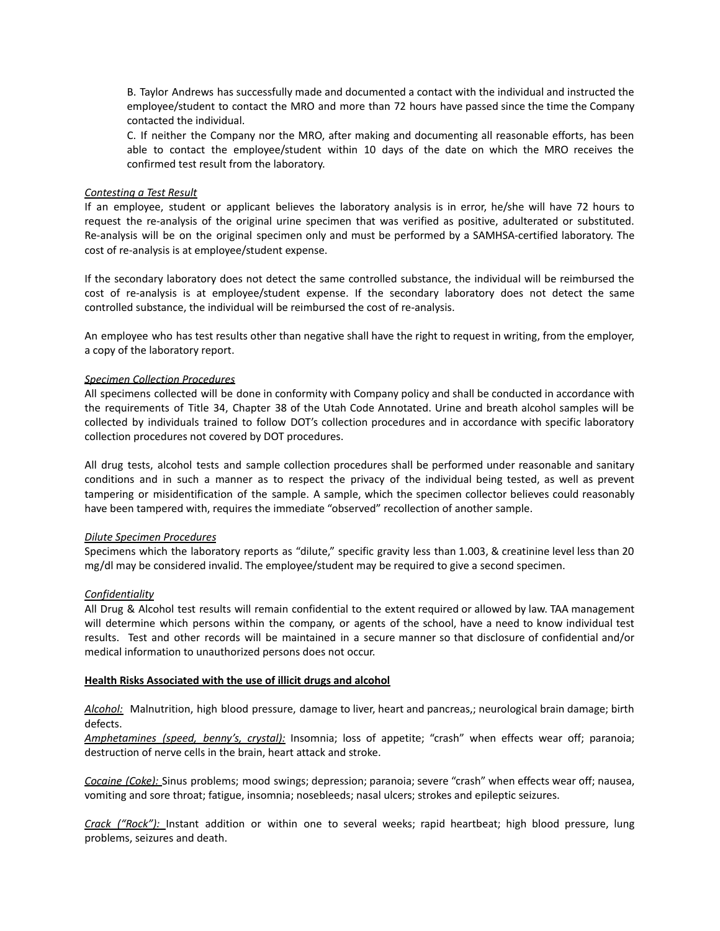B. Taylor Andrews has successfully made and documented a contact with the individual and instructed the employee/student to contact the MRO and more than 72 hours have passed since the time the Company contacted the individual.

C. If neither the Company nor the MRO, after making and documenting all reasonable efforts, has been able to contact the employee/student within 10 days of the date on which the MRO receives the confirmed test result from the laboratory.

#### *Contesting a Test Result*

If an employee, student or applicant believes the laboratory analysis is in error, he/she will have 72 hours to request the re-analysis of the original urine specimen that was verified as positive, adulterated or substituted. Re-analysis will be on the original specimen only and must be performed by a SAMHSA-certified laboratory. The cost of re-analysis is at employee/student expense.

If the secondary laboratory does not detect the same controlled substance, the individual will be reimbursed the cost of re-analysis is at employee/student expense. If the secondary laboratory does not detect the same controlled substance, the individual will be reimbursed the cost of re-analysis.

An employee who has test results other than negative shall have the right to request in writing, from the employer, a copy of the laboratory report.

#### *Specimen Collection Procedures*

All specimens collected will be done in conformity with Company policy and shall be conducted in accordance with the requirements of Title 34, Chapter 38 of the Utah Code Annotated. Urine and breath alcohol samples will be collected by individuals trained to follow DOT's collection procedures and in accordance with specific laboratory collection procedures not covered by DOT procedures.

All drug tests, alcohol tests and sample collection procedures shall be performed under reasonable and sanitary conditions and in such a manner as to respect the privacy of the individual being tested, as well as prevent tampering or misidentification of the sample. A sample, which the specimen collector believes could reasonably have been tampered with, requires the immediate "observed" recollection of another sample.

#### *Dilute Specimen Procedures*

Specimens which the laboratory reports as "dilute," specific gravity less than 1.003, & creatinine level less than 20 mg/dl may be considered invalid. The employee/student may be required to give a second specimen.

#### *Confidentiality*

All Drug & Alcohol test results will remain confidential to the extent required or allowed by law. TAA management will determine which persons within the company, or agents of the school, have a need to know individual test results. Test and other records will be maintained in a secure manner so that disclosure of confidential and/or medical information to unauthorized persons does not occur.

#### **Health Risks Associated with the use of illicit drugs and alcohol**

*Alcohol:* Malnutrition, high blood pressure, damage to liver, heart and pancreas,; neurological brain damage; birth defects.

*Amphetamines (speed, benny's, crystal):* Insomnia; loss of appetite; "crash" when effects wear off; paranoia; destruction of nerve cells in the brain, heart attack and stroke.

*Cocaine (Coke):* Sinus problems; mood swings; depression; paranoia; severe "crash" when effects wear off; nausea, vomiting and sore throat; fatigue, insomnia; nosebleeds; nasal ulcers; strokes and epileptic seizures.

*Crack ("Rock"):* Instant addition or within one to several weeks; rapid heartbeat; high blood pressure, lung problems, seizures and death.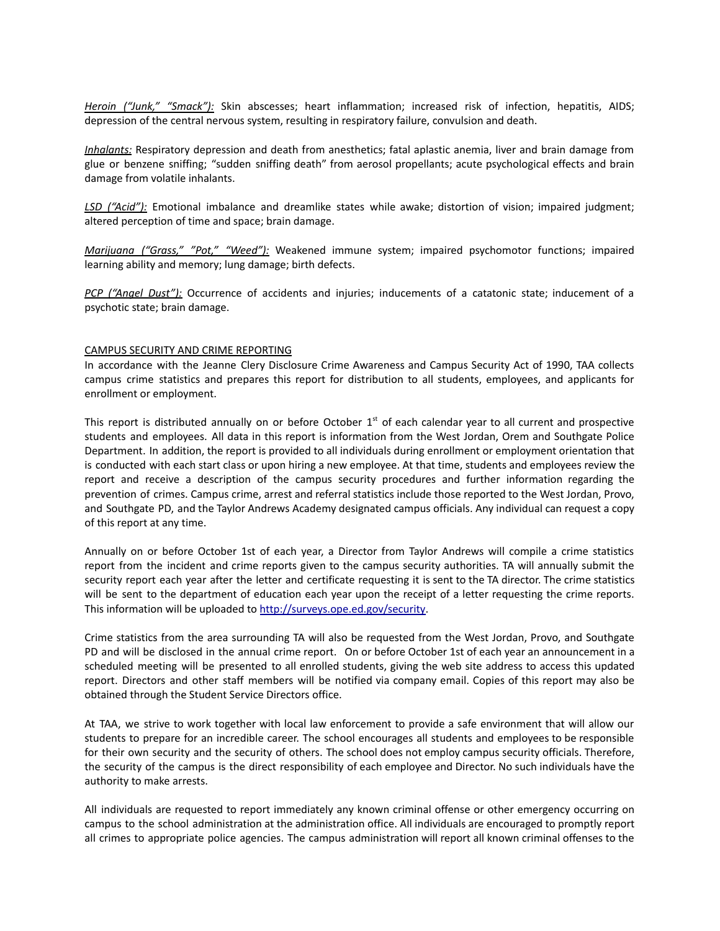*Heroin ("Junk," "Smack"):* Skin abscesses; heart inflammation; increased risk of infection, hepatitis, AIDS; depression of the central nervous system, resulting in respiratory failure, convulsion and death.

*Inhalants:* Respiratory depression and death from anesthetics; fatal aplastic anemia, liver and brain damage from glue or benzene sniffing; "sudden sniffing death" from aerosol propellants; acute psychological effects and brain damage from volatile inhalants.

*LSD ("Acid"):* Emotional imbalance and dreamlike states while awake; distortion of vision; impaired judgment; altered perception of time and space; brain damage.

*Marijuana ("Grass," "Pot," "Weed"):* Weakened immune system; impaired psychomotor functions; impaired learning ability and memory; lung damage; birth defects.

*PCP ("Angel Dust"):* Occurrence of accidents and injuries; inducements of a catatonic state; inducement of a psychotic state; brain damage.

#### CAMPUS SECURITY AND CRIME REPORTING

In accordance with the Jeanne Clery Disclosure Crime Awareness and Campus Security Act of 1990, TAA collects campus crime statistics and prepares this report for distribution to all students, employees, and applicants for enrollment or employment.

This report is distributed annually on or before October  $1<sup>st</sup>$  of each calendar year to all current and prospective students and employees. All data in this report is information from the West Jordan, Orem and Southgate Police Department. In addition, the report is provided to all individuals during enrollment or employment orientation that is conducted with each start class or upon hiring a new employee. At that time, students and employees review the report and receive a description of the campus security procedures and further information regarding the prevention of crimes. Campus crime, arrest and referral statistics include those reported to the West Jordan, Provo, and Southgate PD, and the Taylor Andrews Academy designated campus officials. Any individual can request a copy of this report at any time.

Annually on or before October 1st of each year, a Director from Taylor Andrews will compile a crime statistics report from the incident and crime reports given to the campus security authorities. TA will annually submit the security report each year after the letter and certificate requesting it is sent to the TA director. The crime statistics will be sent to the department of education each year upon the receipt of a letter requesting the crime reports. This information will be uploaded to [http://surveys.ope.ed.gov/security.](http://surveys.ope.ed.gov/security)

Crime statistics from the area surrounding TA will also be requested from the West Jordan, Provo, and Southgate PD and will be disclosed in the annual crime report. On or before October 1st of each year an announcement in a scheduled meeting will be presented to all enrolled students, giving the web site address to access this updated report. Directors and other staff members will be notified via company email. Copies of this report may also be obtained through the Student Service Directors office.

At TAA, we strive to work together with local law enforcement to provide a safe environment that will allow our students to prepare for an incredible career. The school encourages all students and employees to be responsible for their own security and the security of others. The school does not employ campus security officials. Therefore, the security of the campus is the direct responsibility of each employee and Director. No such individuals have the authority to make arrests.

All individuals are requested to report immediately any known criminal offense or other emergency occurring on campus to the school administration at the administration office. All individuals are encouraged to promptly report all crimes to appropriate police agencies. The campus administration will report all known criminal offenses to the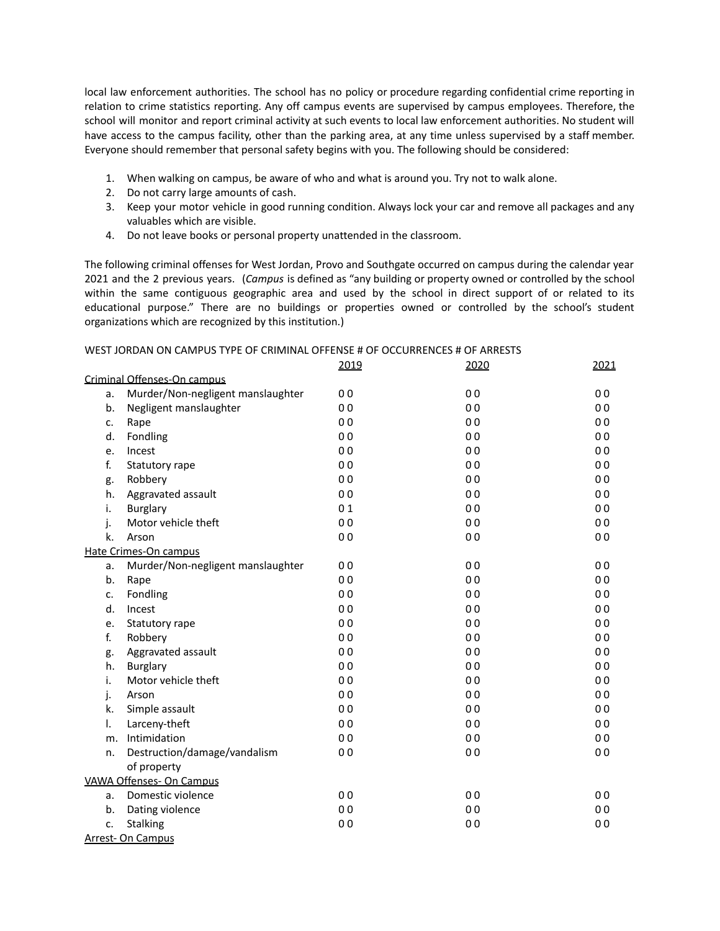local law enforcement authorities. The school has no policy or procedure regarding confidential crime reporting in relation to crime statistics reporting. Any off campus events are supervised by campus employees. Therefore, the school will monitor and report criminal activity at such events to local law enforcement authorities. No student will have access to the campus facility, other than the parking area, at any time unless supervised by a staff member. Everyone should remember that personal safety begins with you. The following should be considered:

- 1. When walking on campus, be aware of who and what is around you. Try not to walk alone.
- 2. Do not carry large amounts of cash.
- 3. Keep your motor vehicle in good running condition. Always lock your car and remove all packages and any valuables which are visible.
- 4. Do not leave books or personal property unattended in the classroom.

The following criminal offenses for West Jordan, Provo and Southgate occurred on campus during the calendar year 2021 and the 2 previous years. (*Campus* is defined as "any building or property owned or controlled by the school within the same contiguous geographic area and used by the school in direct support of or related to its educational purpose." There are no buildings or properties owned or controlled by the school's student organizations which are recognized by this institution.)

### WEST JORDAN ON CAMPUS TYPE OF CRIMINAL OFFENSE # OF OCCURRENCES # OF ARRESTS

|    |                                   | 2019           | 2020           | 2021           |
|----|-----------------------------------|----------------|----------------|----------------|
|    | Criminal Offenses-On campus       |                |                |                |
| a. | Murder/Non-negligent manslaughter | 0 <sub>0</sub> | 0 <sub>0</sub> | 0 <sub>0</sub> |
| b. | Negligent manslaughter            | 0 <sub>0</sub> | 0 <sub>0</sub> | 0 <sub>0</sub> |
| c. | Rape                              | 0 <sub>0</sub> | 0 <sub>0</sub> | 0 <sub>0</sub> |
| d. | Fondling                          | 0 <sub>0</sub> | 0 <sub>0</sub> | 0 <sub>0</sub> |
| e. | Incest                            | 00             | 0 <sub>0</sub> | 0 <sub>0</sub> |
| f. | Statutory rape                    | 0 <sub>0</sub> | 0 <sub>0</sub> | 0 <sub>0</sub> |
| g. | Robbery                           | 0 <sub>0</sub> | 0 <sub>0</sub> | 0 <sub>0</sub> |
| h. | Aggravated assault                | 0 <sub>0</sub> | 0 <sub>0</sub> | 0 <sub>0</sub> |
| i. | <b>Burglary</b>                   | 01             | 0 <sub>0</sub> | 0 <sub>0</sub> |
| j. | Motor vehicle theft               | 0 <sub>0</sub> | 0 <sub>0</sub> | 0 <sub>0</sub> |
| k. | Arson                             | 0 <sub>0</sub> | 0 <sub>0</sub> | 0 <sub>0</sub> |
|    | Hate Crimes-On campus             |                |                |                |
| а. | Murder/Non-negligent manslaughter | 0 <sub>0</sub> | 0 <sub>0</sub> | 0 <sub>0</sub> |
| b. | Rape                              | 00             | 0 <sub>0</sub> | 0 <sub>0</sub> |
| c. | Fondling                          | 0 <sub>0</sub> | 0 <sub>0</sub> | 0 <sub>0</sub> |
| d. | Incest                            | 0 <sub>0</sub> | 0 <sub>0</sub> | 0 <sub>0</sub> |
| e. | Statutory rape                    | 0 <sub>0</sub> | 0 <sub>0</sub> | 0 <sub>0</sub> |
| f. | Robbery                           | 0 <sub>0</sub> | 0 <sub>0</sub> | 0 <sub>0</sub> |
| g. | Aggravated assault                | 00             | 0 <sub>0</sub> | 0 <sub>0</sub> |
| h. | <b>Burglary</b>                   | 0 <sub>0</sub> | 0 <sub>0</sub> | 0 <sub>0</sub> |
| i. | Motor vehicle theft               | 0 <sub>0</sub> | 0 <sub>0</sub> | 0 <sub>0</sub> |
| j. | Arson                             | 0 <sub>0</sub> | 0 <sub>0</sub> | 0 <sub>0</sub> |
| k. | Simple assault                    | 0 <sub>0</sub> | 0 <sub>0</sub> | 00             |
| I. | Larceny-theft                     | 0 <sub>0</sub> | 0 <sub>0</sub> | 00             |
| m. | Intimidation                      | 0 <sub>0</sub> | 0 <sub>0</sub> | 00             |
| n. | Destruction/damage/vandalism      | 0 <sub>0</sub> | 0 <sub>0</sub> | 0 <sub>0</sub> |
|    | of property                       |                |                |                |
|    | <b>VAWA Offenses- On Campus</b>   |                |                |                |
| a. | Domestic violence                 | 0 <sub>0</sub> | 0 <sub>0</sub> | 0 <sub>0</sub> |
| b. | Dating violence                   | 0 <sub>0</sub> | 0 <sub>0</sub> | 0 <sub>0</sub> |
| c. | Stalking                          | 0 <sub>0</sub> | 0 <sub>0</sub> | 0 <sub>0</sub> |
|    | <b>Arrest- On Campus</b>          |                |                |                |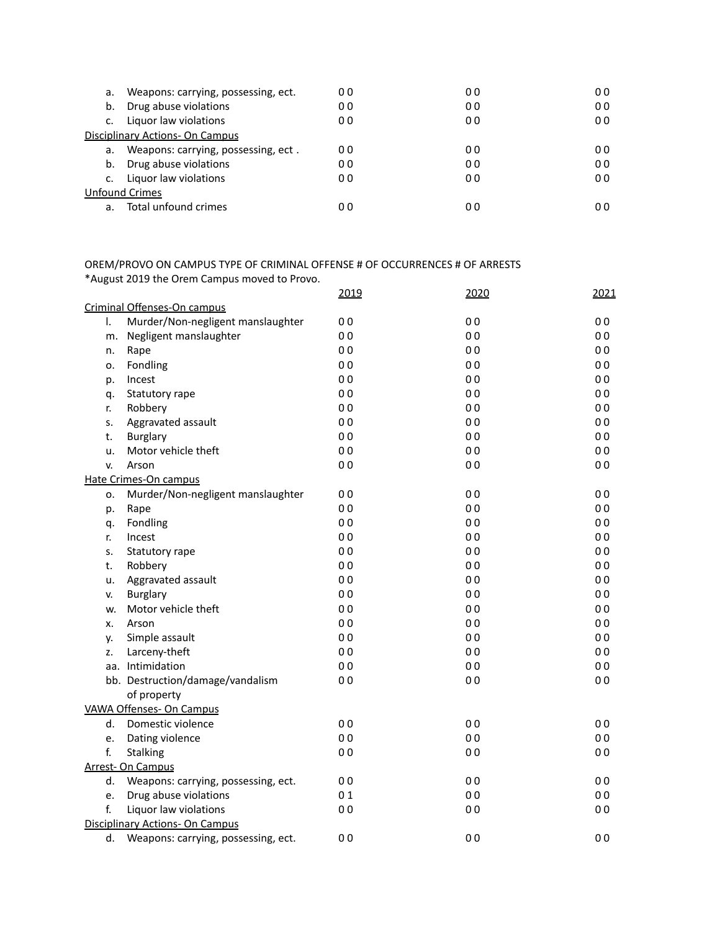| а. | Weapons: carrying, possessing, ect. | 00 | 00             | 00             |
|----|-------------------------------------|----|----------------|----------------|
| b. | Drug abuse violations               | 00 | 00             | 00             |
|    | Liquor law violations               | 00 | 0 <sub>0</sub> | 0 <sub>0</sub> |
|    | Disciplinary Actions- On Campus     |    |                |                |
| а. | Weapons: carrying, possessing, ect. | 00 | 0 <sub>0</sub> | 00             |
| b. | Drug abuse violations               | 00 | 00             | 00             |
|    | Liquor law violations               | 00 | 0 <sub>0</sub> | 00             |
|    | <b>Unfound Crimes</b>               |    |                |                |
| a. | Total unfound crimes                | 00 | 00             | 00             |

## OREM/PROVO ON CAMPUS TYPE OF CRIMINAL OFFENSE # OF OCCURRENCES # OF ARRESTS \*August 2019 the Orem Campus moved to Provo.

|              |                                        | 2019           | 2020           | 2021           |
|--------------|----------------------------------------|----------------|----------------|----------------|
|              | Criminal Offenses-On campus            |                |                |                |
| $\mathsf{L}$ | Murder/Non-negligent manslaughter      | 0 <sub>0</sub> | 0 <sub>0</sub> | 00             |
| m.           | Negligent manslaughter                 | 0 <sub>0</sub> | 0 <sub>0</sub> | 00             |
| n.           | Rape                                   | 0 <sub>0</sub> | 0 <sub>0</sub> | 00             |
| о.           | Fondling                               | 0 <sub>0</sub> | 0 <sub>0</sub> | 00             |
| p.           | Incest                                 | 0 <sub>0</sub> | 0 <sub>0</sub> | 0 <sub>0</sub> |
| q.           | Statutory rape                         | 0 <sub>0</sub> | 0 <sub>0</sub> | 0 <sub>0</sub> |
| r.           | Robbery                                | 0 <sub>0</sub> | 0 <sub>0</sub> | 00             |
| s.           | Aggravated assault                     | 0 <sub>0</sub> | 0 <sub>0</sub> | 0 <sub>0</sub> |
| t.           | <b>Burglary</b>                        | 0 <sub>0</sub> | 0 <sub>0</sub> | 00             |
| u.           | Motor vehicle theft                    | 0 <sub>0</sub> | 0 <sub>0</sub> | 00             |
| v.           | Arson                                  | 0 <sub>0</sub> | 0 <sub>0</sub> | 0 <sub>0</sub> |
|              | Hate Crimes-On campus                  |                |                |                |
| о.           | Murder/Non-negligent manslaughter      | 0 <sub>0</sub> | 0 <sub>0</sub> | 00             |
| p.           | Rape                                   | 0 <sub>0</sub> | 0 <sub>0</sub> | 0 <sub>0</sub> |
| q.           | Fondling                               | 0 <sub>0</sub> | 0 <sub>0</sub> | 0 <sub>0</sub> |
| r.           | Incest                                 | 0 <sub>0</sub> | 0 <sub>0</sub> | 0 <sub>0</sub> |
| s.           | Statutory rape                         | 0 <sub>0</sub> | 0 <sub>0</sub> | 0 <sub>0</sub> |
| t.           | Robbery                                | 0 <sub>0</sub> | 0 <sub>0</sub> | 0 <sub>0</sub> |
| u.           | Aggravated assault                     | 0 <sub>0</sub> | 0 <sub>0</sub> | 0 <sub>0</sub> |
| v.           | <b>Burglary</b>                        | 0 <sub>0</sub> | 0 <sub>0</sub> | 00             |
| w.           | Motor vehicle theft                    | 0 <sub>0</sub> | 0 <sub>0</sub> | 00             |
| х.           | Arson                                  | 0 <sub>0</sub> | 0 <sub>0</sub> | 0 <sub>0</sub> |
| у.           | Simple assault                         | 0 <sub>0</sub> | 0 <sub>0</sub> | 00             |
| Z.           | Larceny-theft                          | 0 <sub>0</sub> | 0 <sub>0</sub> | 00             |
|              | aa. Intimidation                       | 0 <sub>0</sub> | 0 <sub>0</sub> | 00             |
|              | bb. Destruction/damage/vandalism       | 0 <sub>0</sub> | 0 <sub>0</sub> | 0 <sub>0</sub> |
|              | of property                            |                |                |                |
|              | <b>VAWA Offenses- On Campus</b>        |                |                |                |
| d.           | Domestic violence                      | 0 <sub>0</sub> | 0 <sub>0</sub> | 00             |
| e.           | Dating violence                        | 0 <sub>0</sub> | 0 <sub>0</sub> | 00             |
| f.           | <b>Stalking</b>                        | 0 <sub>0</sub> | 0 <sub>0</sub> | 0 <sub>0</sub> |
|              | <b>Arrest- On Campus</b>               |                |                |                |
| d.           | Weapons: carrying, possessing, ect.    | 0 <sub>0</sub> | 0 <sub>0</sub> | 0 <sub>0</sub> |
| e.           | Drug abuse violations                  | 01             | 0 <sub>0</sub> | 00             |
| f.           | Liquor law violations                  | 0 <sub>0</sub> | 0 <sub>0</sub> | 0 <sub>0</sub> |
|              | <b>Disciplinary Actions- On Campus</b> |                |                |                |
| d.           | Weapons: carrying, possessing, ect.    | 0 <sub>0</sub> | 0 <sub>0</sub> | 00             |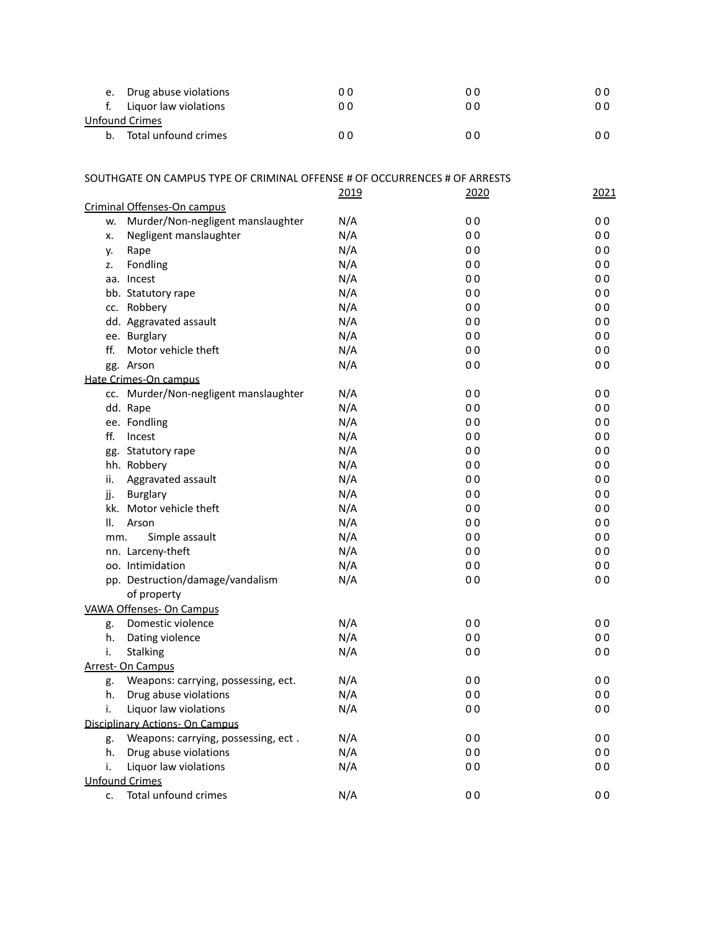| e. Drug abuse violations | 00  | 00  | 00  |
|--------------------------|-----|-----|-----|
| f. Liguor law violations | 00  | 00  | 0 0 |
| <b>Unfound Crimes</b>    |     |     |     |
| b. Total unfound crimes  | 0 O | ი ი | ი ი |

| SOUTHGATE ON CAMPUS TYPE OF CRIMINAL OFFENSE # OF OCCURRENCES # OF ARRESTS |      |                |                |
|----------------------------------------------------------------------------|------|----------------|----------------|
|                                                                            | 2019 | 2020           | 2021           |
| Criminal Offenses-On campus                                                |      |                |                |
| Murder/Non-negligent manslaughter<br>W.                                    | N/A  | 0 <sub>0</sub> | 0 <sub>0</sub> |
| Negligent manslaughter<br>х.                                               | N/A  | 0 <sub>0</sub> | 0 <sub>0</sub> |
| Rape<br>у.                                                                 | N/A  | 0 <sub>0</sub> | 0 <sub>0</sub> |
| Fondling<br>z.                                                             | N/A  | 0 <sub>0</sub> | 0 <sub>0</sub> |
| aa. Incest                                                                 | N/A  | 0 <sub>0</sub> | 0 <sub>0</sub> |
| bb. Statutory rape                                                         | N/A  | 0 <sub>0</sub> | 0 <sub>0</sub> |
| cc. Robbery                                                                | N/A  | 0 <sub>0</sub> | 0 <sub>0</sub> |
| dd. Aggravated assault                                                     | N/A  | 0 <sub>0</sub> | 0 <sub>0</sub> |
| ee. Burglary                                                               | N/A  | 0 <sub>0</sub> | 0 <sub>0</sub> |
| ff.<br>Motor vehicle theft                                                 | N/A  | 0 <sub>0</sub> | 00             |
| gg. Arson                                                                  | N/A  | 0 <sub>0</sub> | 0 <sub>0</sub> |
| Hate Crimes-On campus                                                      |      |                |                |
| cc. Murder/Non-negligent manslaughter                                      | N/A  | 0 <sub>0</sub> | 00             |
| dd. Rape                                                                   | N/A  | 0 <sub>0</sub> | 0 <sub>0</sub> |
| ee. Fondling                                                               | N/A  | 0 <sub>0</sub> | 0 <sub>0</sub> |
| ff.<br>Incest                                                              | N/A  | 0 <sub>0</sub> | 0 <sub>0</sub> |
| gg. Statutory rape                                                         | N/A  | 0 <sub>0</sub> | 00             |
| hh. Robbery                                                                | N/A  | 0 <sub>0</sub> | 00             |
| Aggravated assault<br>ii.                                                  | N/A  | 0 <sub>0</sub> | 0 <sub>0</sub> |
| jj.<br>Burglary                                                            | N/A  | 0 <sub>0</sub> | 0 <sub>0</sub> |
| kk. Motor vehicle theft                                                    | N/A  | 0 <sub>0</sub> | 0 <sub>0</sub> |
| Ш.<br>Arson                                                                | N/A  | 0 <sub>0</sub> | 0 <sub>0</sub> |
| Simple assault<br>mm.                                                      | N/A  | 0 <sub>0</sub> | 0 <sub>0</sub> |
| nn. Larceny-theft                                                          | N/A  | 0 <sub>0</sub> | 0 <sub>0</sub> |
| oo. Intimidation                                                           | N/A  | 0 <sub>0</sub> | 0 <sub>0</sub> |
| pp. Destruction/damage/vandalism                                           | N/A  | 0 <sub>0</sub> | 0 <sub>0</sub> |
| of property                                                                |      |                |                |
| <b>VAWA Offenses- On Campus</b>                                            |      |                |                |
| Domestic violence<br>g.                                                    | N/A  | 0 <sub>0</sub> | 0 <sub>0</sub> |
| h.<br>Dating violence                                                      | N/A  | 0 <sub>0</sub> | 0 <sub>0</sub> |
| i.<br><b>Stalking</b>                                                      | N/A  | 0 <sub>0</sub> | 0 <sub>0</sub> |
| <b>Arrest- On Campus</b>                                                   |      |                |                |
| Weapons: carrying, possessing, ect.<br>g.                                  | N/A  | 0 <sub>0</sub> | 00             |
| Drug abuse violations<br>h.                                                | N/A  | 0 <sub>0</sub> | 0 <sub>0</sub> |
| Liquor law violations<br>i.                                                | N/A  | 0 <sub>0</sub> | 0 <sub>0</sub> |
| <b>Disciplinary Actions- On Campus</b>                                     |      |                |                |
| Weapons: carrying, possessing, ect.<br>g.                                  | N/A  | 0 <sub>0</sub> | 0 <sub>0</sub> |
| Drug abuse violations<br>h.                                                | N/A  | 0 <sub>0</sub> | 0 <sub>0</sub> |
| Liquor law violations<br>i.                                                | N/A  | 0 <sub>0</sub> | 0 <sub>0</sub> |
| <b>Unfound Crimes</b>                                                      |      |                |                |
| Total unfound crimes<br>c.                                                 | N/A  | 0 <sub>0</sub> | 0 <sub>0</sub> |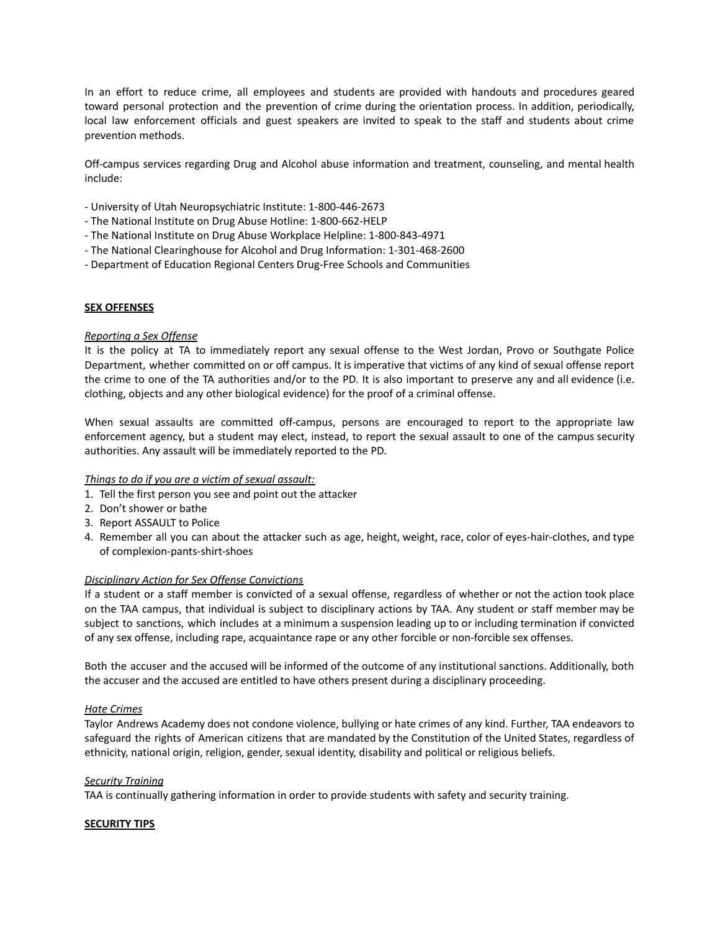In an effort to reduce crime, all employees and students are provided with handouts and procedures geared toward personal protection and the prevention of crime during the orientation process. In addition, periodically, local law enforcement officials and guest speakers are invited to speak to the staff and students about crime prevention methods.

Off-campus services regarding Drug and Alcohol abuse information and treatment, counseling, and mental health include:

- University of Utah Neuropsychiatric Institute: 1-800-446-2673
- The National Institute on Drug Abuse Hotline: 1-800-662-HELP
- The National Institute on Drug Abuse Workplace Helpline: 1-800-843-4971
- The National Clearinghouse for Alcohol and Drug Information: 1-301-468-2600
- Department of Education Regional Centers Drug-Free Schools and Communities

#### **SEX OFFENSES**

#### *Reporting a Sex Offense*

It is the policy at TA to immediately report any sexual offense to the West Jordan, Provo or Southgate Police Department, whether committed on or off campus. It is imperative that victims of any kind of sexual offense report the crime to one of the TA authorities and/or to the PD. It is also important to preserve any and all evidence (i.e. clothing, objects and any other biological evidence) for the proof of a criminal offense.

When sexual assaults are committed off-campus, persons are encouraged to report to the appropriate law enforcement agency, but a student may elect, instead, to report the sexual assault to one of the campus security authorities. Any assault will be immediately reported to the PD.

#### *Things to do if you are a victim of sexual assault:*

- 1. Tell the first person you see and point out the attacker
- 2. Don't shower or bathe
- 3. Report ASSAULT to Police
- 4. Remember all you can about the attacker such as age, height, weight, race, color of eyes-hair-clothes, and type of complexion-pants-shirt-shoes

#### *Disciplinary Action for Sex Offense Convictions*

If a student or a staff member is convicted of a sexual offense, regardless of whether or not the action took place on the TAA campus, that individual is subject to disciplinary actions by TAA. Any student or staff member may be subject to sanctions, which includes at a minimum a suspension leading up to or including termination if convicted of any sex offense, including rape, acquaintance rape or any other forcible or non-forcible sex offenses.

Both the accuser and the accused will be informed of the outcome of any institutional sanctions. Additionally, both the accuser and the accused are entitled to have others present during a disciplinary proceeding.

#### *Hate Crimes*

Taylor Andrews Academy does not condone violence, bullying or hate crimes of any kind. Further, TAA endeavors to safeguard the rights of American citizens that are mandated by the Constitution of the United States, regardless of ethnicity, national origin, religion, gender, sexual identity, disability and political or religious beliefs.

#### *Security Training*

TAA is continually gathering information in order to provide students with safety and security training.

#### **SECURITY TIPS**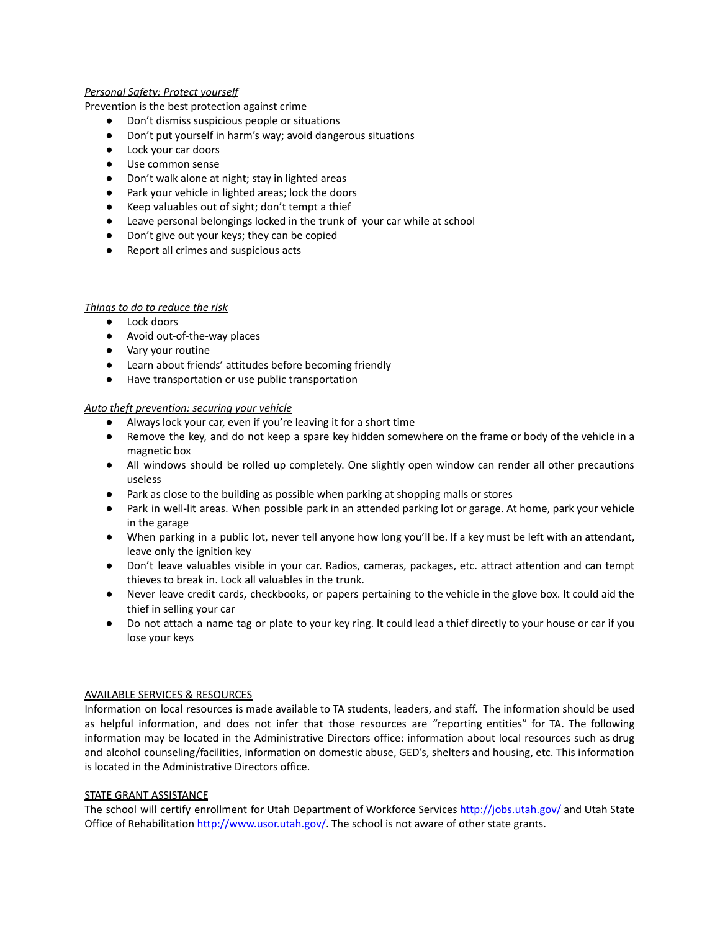## *Personal Safety: Protect yourself*

Prevention is the best protection against crime

- Don't dismiss suspicious people or situations
- Don't put yourself in harm's way; avoid dangerous situations
- Lock your car doors
- Use common sense
- Don't walk alone at night; stay in lighted areas
- Park your vehicle in lighted areas; lock the doors
- Keep valuables out of sight; don't tempt a thief
- Leave personal belongings locked in the trunk of your car while at school
- Don't give out your keys; they can be copied
- Report all crimes and suspicious acts

### *Things to do to reduce the risk*

- Lock doors
- Avoid out-of-the-way places
- Vary your routine
- Learn about friends' attitudes before becoming friendly
- Have transportation or use public transportation

### *Auto theft prevention: securing your vehicle*

- **●** Always lock your car, even if you're leaving it for a short time
- **●** Remove the key, and do not keep a spare key hidden somewhere on the frame or body of the vehicle in a magnetic box
- **●** All windows should be rolled up completely. One slightly open window can render all other precautions useless
- **●** Park as close to the building as possible when parking at shopping malls or stores
- **●** Park in well-lit areas. When possible park in an attended parking lot or garage. At home, park your vehicle in the garage
- **●** When parking in a public lot, never tell anyone how long you'll be. If a key must be left with an attendant, leave only the ignition key
- **●** Don't leave valuables visible in your car. Radios, cameras, packages, etc. attract attention and can tempt thieves to break in. Lock all valuables in the trunk.
- **●** Never leave credit cards, checkbooks, or papers pertaining to the vehicle in the glove box. It could aid the thief in selling your car
- **●** Do not attach a name tag or plate to your key ring. It could lead a thief directly to your house or car if you lose your keys

#### AVAILABLE SERVICES & RESOURCES

Information on local resources is made available to TA students, leaders, and staff. The information should be used as helpful information, and does not infer that those resources are "reporting entities" for TA. The following information may be located in the Administrative Directors office: information about local resources such as drug and alcohol counseling/facilities, information on domestic abuse, GED's, shelters and housing, etc. This information is located in the Administrative Directors office.

#### STATE GRANT ASSISTANCE

The school will certify enrollment for Utah Department of Workforce Services http://jobs.utah.gov/ and Utah State Office of Rehabilitation http://www.usor.utah.gov/. The school is not aware of other state grants.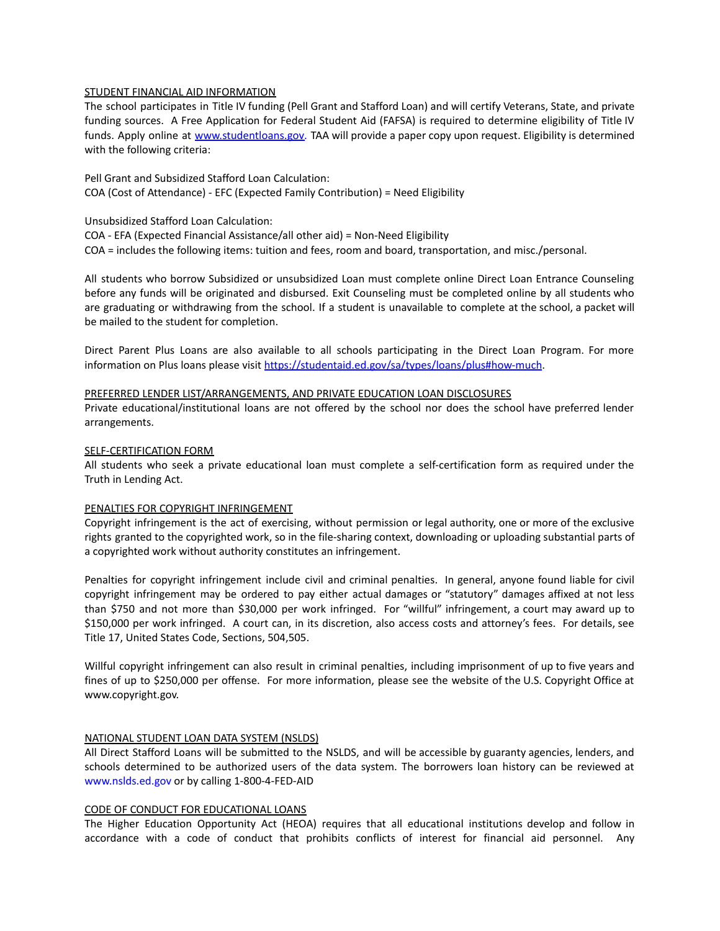### STUDENT FINANCIAL AID INFORMATION

The school participates in Title IV funding (Pell Grant and Stafford Loan) and will certify Veterans, State, and private funding sources. A Free Application for Federal Student Aid (FAFSA) is required to determine eligibility of Title IV funds. Apply online at [www.student](http://www.student)loans.gov. TAA will provide a paper copy upon request. Eligibility is determined with the following criteria:

Pell Grant and Subsidized Stafford Loan Calculation: COA (Cost of Attendance) - EFC (Expected Family Contribution) = Need Eligibility

Unsubsidized Stafford Loan Calculation:

COA - EFA (Expected Financial Assistance/all other aid) = Non-Need Eligibility

COA = includes the following items: tuition and fees, room and board, transportation, and misc./personal.

All students who borrow Subsidized or unsubsidized Loan must complete online Direct Loan Entrance Counseling before any funds will be originated and disbursed. Exit Counseling must be completed online by all students who are graduating or withdrawing from the school. If a student is unavailable to complete at the school, a packet will be mailed to the student for completion.

Direct Parent Plus Loans are also available to all schools participating in the Direct Loan Program. For more information on Plus loans please visit <https://studentaid.ed.gov/sa/types/loans/plus#how-much>.

#### PREFERRED LENDER LIST/ARRANGEMENTS, AND PRIVATE EDUCATION LOAN DISCLOSURES

Private educational/institutional loans are not offered by the school nor does the school have preferred lender arrangements.

#### SELF-CERTIFICATION FORM

All students who seek a private educational loan must complete a self-certification form as required under the Truth in Lending Act.

#### PENALTIES FOR COPYRIGHT INFRINGEMENT

Copyright infringement is the act of exercising, without permission or legal authority, one or more of the exclusive rights granted to the copyrighted work, so in the file-sharing context, downloading or uploading substantial parts of a copyrighted work without authority constitutes an infringement.

Penalties for copyright infringement include civil and criminal penalties. In general, anyone found liable for civil copyright infringement may be ordered to pay either actual damages or "statutory" damages affixed at not less than \$750 and not more than \$30,000 per work infringed. For "willful" infringement, a court may award up to \$150,000 per work infringed. A court can, in its discretion, also access costs and attorney's fees. For details, see Title 17, United States Code, Sections, 504,505.

Willful copyright infringement can also result in criminal penalties, including imprisonment of up to five years and fines of up to \$250,000 per offense. For more information, please see the website of the U.S. Copyright Office at www.copyright.gov.

#### NATIONAL STUDENT LOAN DATA SYSTEM (NSLDS)

All Direct Stafford Loans will be submitted to the NSLDS, and will be accessible by guaranty agencies, lenders, and schools determined to be authorized users of the data system. The borrowers loan history can be reviewed at www.nslds.ed.gov or by calling 1-800-4-FED-AID

### CODE OF CONDUCT FOR EDUCATIONAL LOANS

The Higher Education Opportunity Act (HEOA) requires that all educational institutions develop and follow in accordance with a code of conduct that prohibits conflicts of interest for financial aid personnel. Any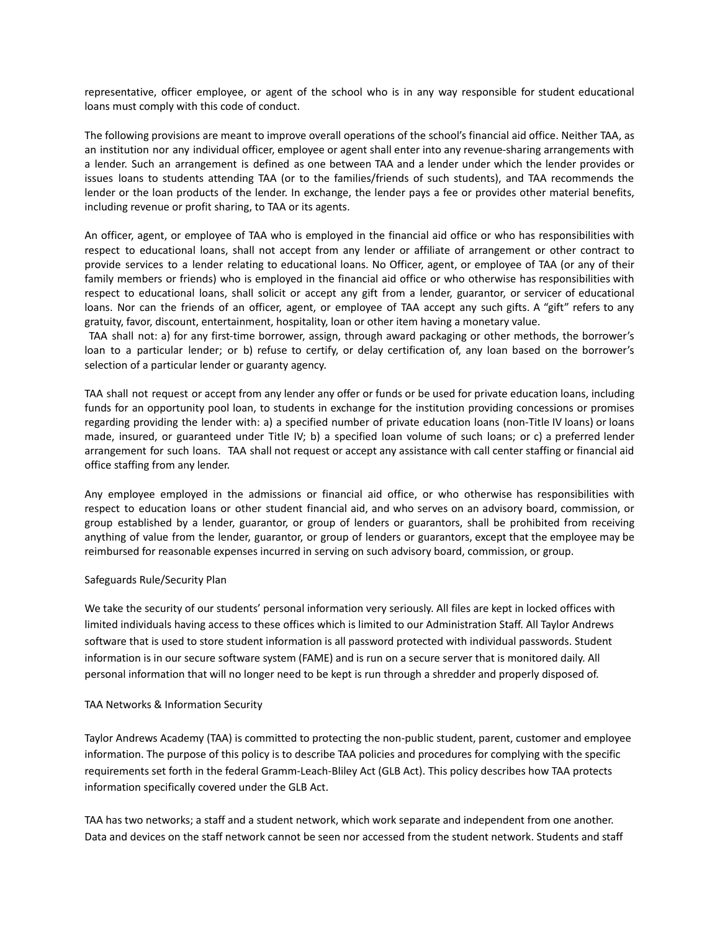representative, officer employee, or agent of the school who is in any way responsible for student educational loans must comply with this code of conduct.

The following provisions are meant to improve overall operations of the school's financial aid office. Neither TAA, as an institution nor any individual officer, employee or agent shall enter into any revenue-sharing arrangements with a lender. Such an arrangement is defined as one between TAA and a lender under which the lender provides or issues loans to students attending TAA (or to the families/friends of such students), and TAA recommends the lender or the loan products of the lender. In exchange, the lender pays a fee or provides other material benefits, including revenue or profit sharing, to TAA or its agents.

An officer, agent, or employee of TAA who is employed in the financial aid office or who has responsibilities with respect to educational loans, shall not accept from any lender or affiliate of arrangement or other contract to provide services to a lender relating to educational loans. No Officer, agent, or employee of TAA (or any of their family members or friends) who is employed in the financial aid office or who otherwise has responsibilities with respect to educational loans, shall solicit or accept any gift from a lender, guarantor, or servicer of educational loans. Nor can the friends of an officer, agent, or employee of TAA accept any such gifts. A "gift" refers to any gratuity, favor, discount, entertainment, hospitality, loan or other item having a monetary value.

TAA shall not: a) for any first-time borrower, assign, through award packaging or other methods, the borrower's loan to a particular lender; or b) refuse to certify, or delay certification of, any loan based on the borrower's selection of a particular lender or guaranty agency.

TAA shall not request or accept from any lender any offer or funds or be used for private education loans, including funds for an opportunity pool loan, to students in exchange for the institution providing concessions or promises regarding providing the lender with: a) a specified number of private education loans (non-Title IV loans) or loans made, insured, or guaranteed under Title IV; b) a specified loan volume of such loans; or c) a preferred lender arrangement for such loans. TAA shall not request or accept any assistance with call center staffing or financial aid office staffing from any lender.

Any employee employed in the admissions or financial aid office, or who otherwise has responsibilities with respect to education loans or other student financial aid, and who serves on an advisory board, commission, or group established by a lender, guarantor, or group of lenders or guarantors, shall be prohibited from receiving anything of value from the lender, guarantor, or group of lenders or guarantors, except that the employee may be reimbursed for reasonable expenses incurred in serving on such advisory board, commission, or group.

#### Safeguards Rule/Security Plan

We take the security of our students' personal information very seriously. All files are kept in locked offices with limited individuals having access to these offices which is limited to our Administration Staff. All Taylor Andrews software that is used to store student information is all password protected with individual passwords. Student information is in our secure software system (FAME) and is run on a secure server that is monitored daily. All personal information that will no longer need to be kept is run through a shredder and properly disposed of.

#### TAA Networks & Information Security

Taylor Andrews Academy (TAA) is committed to protecting the non-public student, parent, customer and employee information. The purpose of this policy is to describe TAA policies and procedures for complying with the specific requirements set forth in the federal Gramm-Leach-Bliley Act (GLB Act). This policy describes how TAA protects information specifically covered under the GLB Act.

TAA has two networks; a staff and a student network, which work separate and independent from one another. Data and devices on the staff network cannot be seen nor accessed from the student network. Students and staff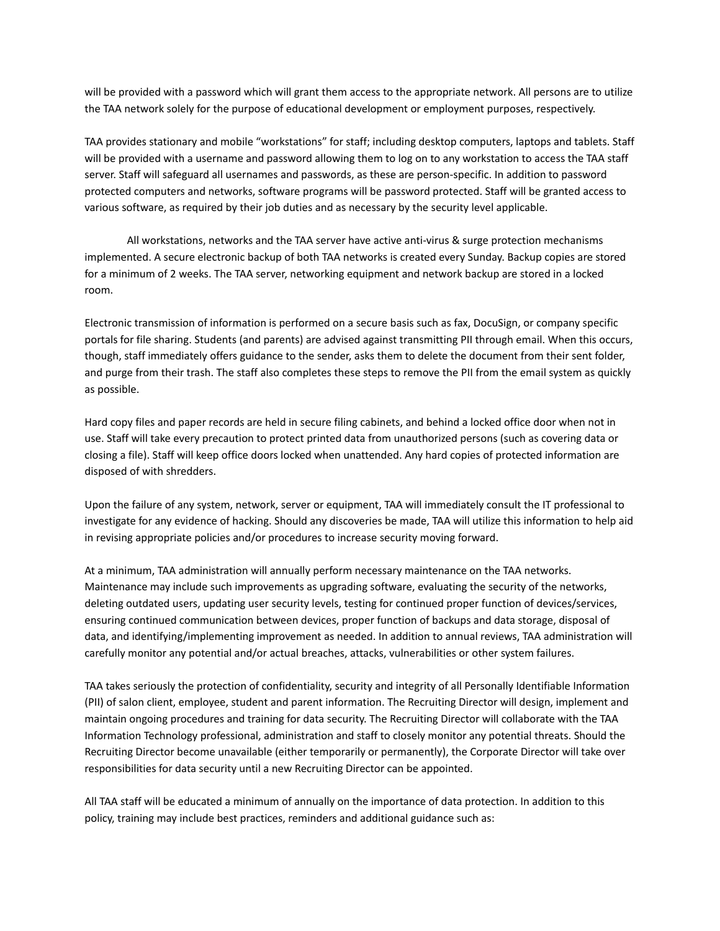will be provided with a password which will grant them access to the appropriate network. All persons are to utilize the TAA network solely for the purpose of educational development or employment purposes, respectively.

TAA provides stationary and mobile "workstations" for staff; including desktop computers, laptops and tablets. Staff will be provided with a username and password allowing them to log on to any workstation to access the TAA staff server. Staff will safeguard all usernames and passwords, as these are person-specific. In addition to password protected computers and networks, software programs will be password protected. Staff will be granted access to various software, as required by their job duties and as necessary by the security level applicable.

All workstations, networks and the TAA server have active anti-virus & surge protection mechanisms implemented. A secure electronic backup of both TAA networks is created every Sunday. Backup copies are stored for a minimum of 2 weeks. The TAA server, networking equipment and network backup are stored in a locked room.

Electronic transmission of information is performed on a secure basis such as fax, DocuSign, or company specific portals for file sharing. Students (and parents) are advised against transmitting PII through email. When this occurs, though, staff immediately offers guidance to the sender, asks them to delete the document from their sent folder, and purge from their trash. The staff also completes these steps to remove the PII from the email system as quickly as possible.

Hard copy files and paper records are held in secure filing cabinets, and behind a locked office door when not in use. Staff will take every precaution to protect printed data from unauthorized persons (such as covering data or closing a file). Staff will keep office doors locked when unattended. Any hard copies of protected information are disposed of with shredders.

Upon the failure of any system, network, server or equipment, TAA will immediately consult the IT professional to investigate for any evidence of hacking. Should any discoveries be made, TAA will utilize this information to help aid in revising appropriate policies and/or procedures to increase security moving forward.

At a minimum, TAA administration will annually perform necessary maintenance on the TAA networks. Maintenance may include such improvements as upgrading software, evaluating the security of the networks, deleting outdated users, updating user security levels, testing for continued proper function of devices/services, ensuring continued communication between devices, proper function of backups and data storage, disposal of data, and identifying/implementing improvement as needed. In addition to annual reviews, TAA administration will carefully monitor any potential and/or actual breaches, attacks, vulnerabilities or other system failures.

TAA takes seriously the protection of confidentiality, security and integrity of all Personally Identifiable Information (PII) of salon client, employee, student and parent information. The Recruiting Director will design, implement and maintain ongoing procedures and training for data security. The Recruiting Director will collaborate with the TAA Information Technology professional, administration and staff to closely monitor any potential threats. Should the Recruiting Director become unavailable (either temporarily or permanently), the Corporate Director will take over responsibilities for data security until a new Recruiting Director can be appointed.

All TAA staff will be educated a minimum of annually on the importance of data protection. In addition to this policy, training may include best practices, reminders and additional guidance such as: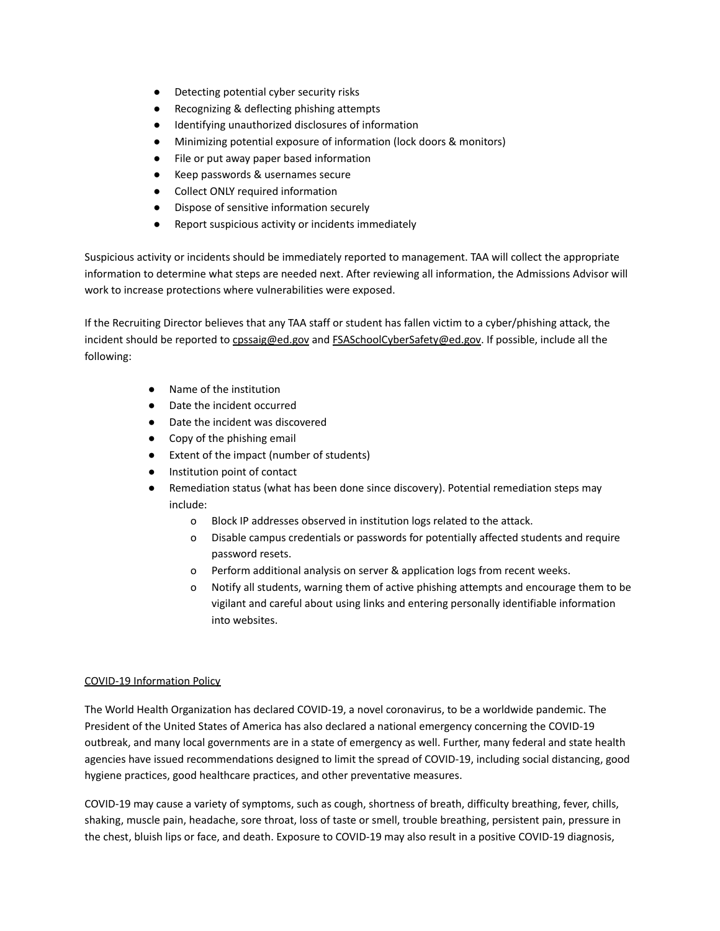- Detecting potential cyber security risks
- Recognizing & deflecting phishing attempts
- Identifying unauthorized disclosures of information
- Minimizing potential exposure of information (lock doors & monitors)
- File or put away paper based information
- Keep passwords & usernames secure
- Collect ONLY required information
- Dispose of sensitive information securely
- Report suspicious activity or incidents immediately

Suspicious activity or incidents should be immediately reported to management. TAA will collect the appropriate information to determine what steps are needed next. After reviewing all information, the Admissions Advisor will work to increase protections where vulnerabilities were exposed.

If the Recruiting Director believes that any TAA staff or student has fallen victim to a cyber/phishing attack, the incident should be reported to [cpssaig@ed.gov](mailto:cpssaig@ed.gov) and [FSASchoolCyberSafety@ed.gov](mailto:FSASchoolCyberSafety@ed.gov). If possible, include all the following:

- Name of the institution
- Date the incident occurred
- Date the incident was discovered
- Copy of the phishing email
- Extent of the impact (number of students)
- Institution point of contact
- Remediation status (what has been done since discovery). Potential remediation steps may include:
	- o Block IP addresses observed in institution logs related to the attack.
	- o Disable campus credentials or passwords for potentially affected students and require password resets.
	- o Perform additional analysis on server & application logs from recent weeks.
	- o Notify all students, warning them of active phishing attempts and encourage them to be vigilant and careful about using links and entering personally identifiable information into websites.

#### COVID-19 Information Policy

The World Health Organization has declared COVID-19, a novel coronavirus, to be a worldwide pandemic. The President of the United States of America has also declared a national emergency concerning the COVID-19 outbreak, and many local governments are in a state of emergency as well. Further, many federal and state health agencies have issued recommendations designed to limit the spread of COVID-19, including social distancing, good hygiene practices, good healthcare practices, and other preventative measures.

COVID-19 may cause a variety of symptoms, such as cough, shortness of breath, difficulty breathing, fever, chills, shaking, muscle pain, headache, sore throat, loss of taste or smell, trouble breathing, persistent pain, pressure in the chest, bluish lips or face, and death. Exposure to COVID-19 may also result in a positive COVID-19 diagnosis,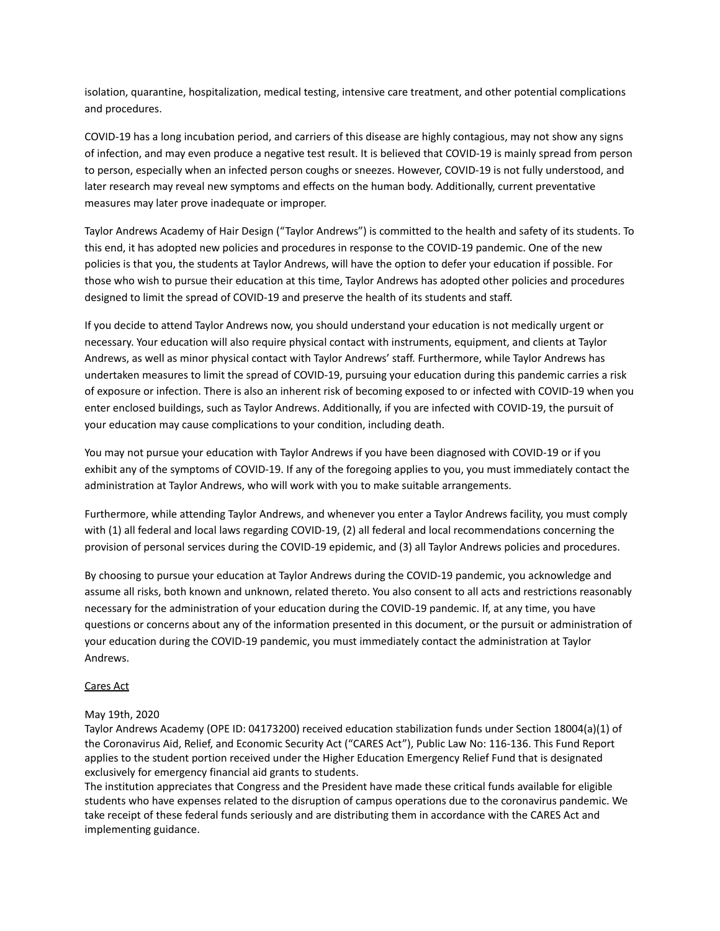isolation, quarantine, hospitalization, medical testing, intensive care treatment, and other potential complications and procedures.

COVID-19 has a long incubation period, and carriers of this disease are highly contagious, may not show any signs of infection, and may even produce a negative test result. It is believed that COVID-19 is mainly spread from person to person, especially when an infected person coughs or sneezes. However, COVID-19 is not fully understood, and later research may reveal new symptoms and effects on the human body. Additionally, current preventative measures may later prove inadequate or improper.

Taylor Andrews Academy of Hair Design ("Taylor Andrews") is committed to the health and safety of its students. To this end, it has adopted new policies and procedures in response to the COVID-19 pandemic. One of the new policies is that you, the students at Taylor Andrews, will have the option to defer your education if possible. For those who wish to pursue their education at this time, Taylor Andrews has adopted other policies and procedures designed to limit the spread of COVID-19 and preserve the health of its students and staff.

If you decide to attend Taylor Andrews now, you should understand your education is not medically urgent or necessary. Your education will also require physical contact with instruments, equipment, and clients at Taylor Andrews, as well as minor physical contact with Taylor Andrews' staff. Furthermore, while Taylor Andrews has undertaken measures to limit the spread of COVID-19, pursuing your education during this pandemic carries a risk of exposure or infection. There is also an inherent risk of becoming exposed to or infected with COVID-19 when you enter enclosed buildings, such as Taylor Andrews. Additionally, if you are infected with COVID-19, the pursuit of your education may cause complications to your condition, including death.

You may not pursue your education with Taylor Andrews if you have been diagnosed with COVID-19 or if you exhibit any of the symptoms of COVID-19. If any of the foregoing applies to you, you must immediately contact the administration at Taylor Andrews, who will work with you to make suitable arrangements.

Furthermore, while attending Taylor Andrews, and whenever you enter a Taylor Andrews facility, you must comply with (1) all federal and local laws regarding COVID-19, (2) all federal and local recommendations concerning the provision of personal services during the COVID-19 epidemic, and (3) all Taylor Andrews policies and procedures.

By choosing to pursue your education at Taylor Andrews during the COVID-19 pandemic, you acknowledge and assume all risks, both known and unknown, related thereto. You also consent to all acts and restrictions reasonably necessary for the administration of your education during the COVID-19 pandemic. If, at any time, you have questions or concerns about any of the information presented in this document, or the pursuit or administration of your education during the COVID-19 pandemic, you must immediately contact the administration at Taylor Andrews.

## Cares Act

## May 19th, 2020

Taylor Andrews Academy (OPE ID: 04173200) received education stabilization funds under Section 18004(a)(1) of the Coronavirus Aid, Relief, and Economic Security Act ("CARES Act"), Public Law No: 116-136. This Fund Report applies to the student portion received under the Higher Education Emergency Relief Fund that is designated exclusively for emergency financial aid grants to students.

The institution appreciates that Congress and the President have made these critical funds available for eligible students who have expenses related to the disruption of campus operations due to the coronavirus pandemic. We take receipt of these federal funds seriously and are distributing them in accordance with the CARES Act and implementing guidance.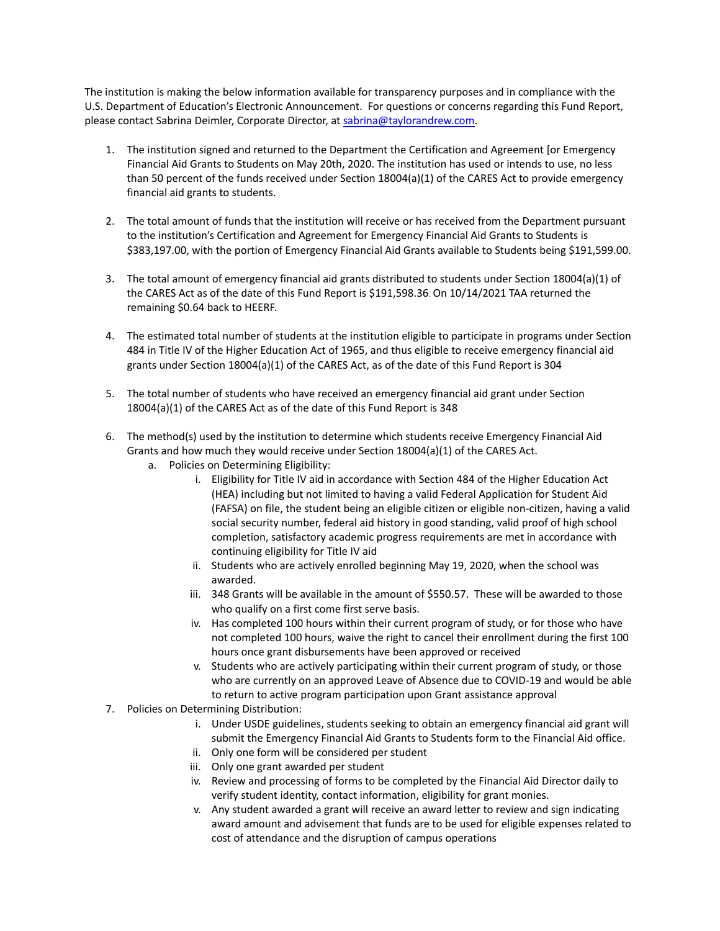The institution is making the below information available for transparency purposes and in compliance with the U.S. Department of Education's Electronic Announcement. For questions or concerns regarding this Fund Report, please contact Sabrina Deimler, Corporate Director, at [sabrina@taylorandrew.com.](mailto:sabrina@taylorandrew.com)

- 1. The institution signed and returned to the Department the Certification and Agreement [or Emergency Financial Aid Grants to Students on May 20th, 2020. The institution has used or intends to use, no less than 50 percent of the funds received under Section 18004(a)(1) of the CARES Act to provide emergency financial aid grants to students.
- 2. The total amount of funds that the institution will receive or has received from the Department pursuant to the institution's Certification and Agreement for Emergency Financial Aid Grants to Students is \$383,197.00, with the portion of Emergency Financial Aid Grants available to Students being \$191,599.00.
- 3. The total amount of emergency financial aid grants distributed to students under Section 18004(a)(1) of the CARES Act as of the date of this Fund Report is \$191,598.36. On 10/14/2021 TAA returned the remaining \$0.64 back to HEERF.
- 4. The estimated total number of students at the institution eligible to participate in programs under Section 484 in Title IV of the Higher Education Act of 1965, and thus eligible to receive emergency financial aid grants under Section 18004(a)(1) of the CARES Act, as of the date of this Fund Report is 304
- 5. The total number of students who have received an emergency financial aid grant under Section 18004(a)(1) of the CARES Act as of the date of this Fund Report is 348
- 6. The method(s) used by the institution to determine which students receive Emergency Financial Aid Grants and how much they would receive under Section 18004(a)(1) of the CARES Act.
	- a. Policies on Determining Eligibility:
		- i. Eligibility for Title IV aid in accordance with Section 484 of the Higher Education Act (HEA) including but not limited to having a valid Federal Application for Student Aid (FAFSA) on file, the student being an eligible citizen or eligible non-citizen, having a valid social security number, federal aid history in good standing, valid proof of high school completion, satisfactory academic progress requirements are met in accordance with continuing eligibility for Title IV aid
		- ii. Students who are actively enrolled beginning May 19, 2020, when the school was awarded.
		- iii. 348 Grants will be available in the amount of \$550.57. These will be awarded to those who qualify on a first come first serve basis.
		- iv. Has completed 100 hours within their current program of study, or for those who have not completed 100 hours, waive the right to cancel their enrollment during the first 100 hours once grant disbursements have been approved or received
		- v. Students who are actively participating within their current program of study, or those who are currently on an approved Leave of Absence due to COVID-19 and would be able to return to active program participation upon Grant assistance approval
- 7. Policies on Determining Distribution:
	- i. Under USDE guidelines, students seeking to obtain an emergency financial aid grant will submit the Emergency Financial Aid Grants to Students form to the Financial Aid office.
	- ii. Only one form will be considered per student
	- iii. Only one grant awarded per student
	- iv. Review and processing of forms to be completed by the Financial Aid Director daily to verify student identity, contact information, eligibility for grant monies.
	- v. Any student awarded a grant will receive an award letter to review and sign indicating award amount and advisement that funds are to be used for eligible expenses related to cost of attendance and the disruption of campus operations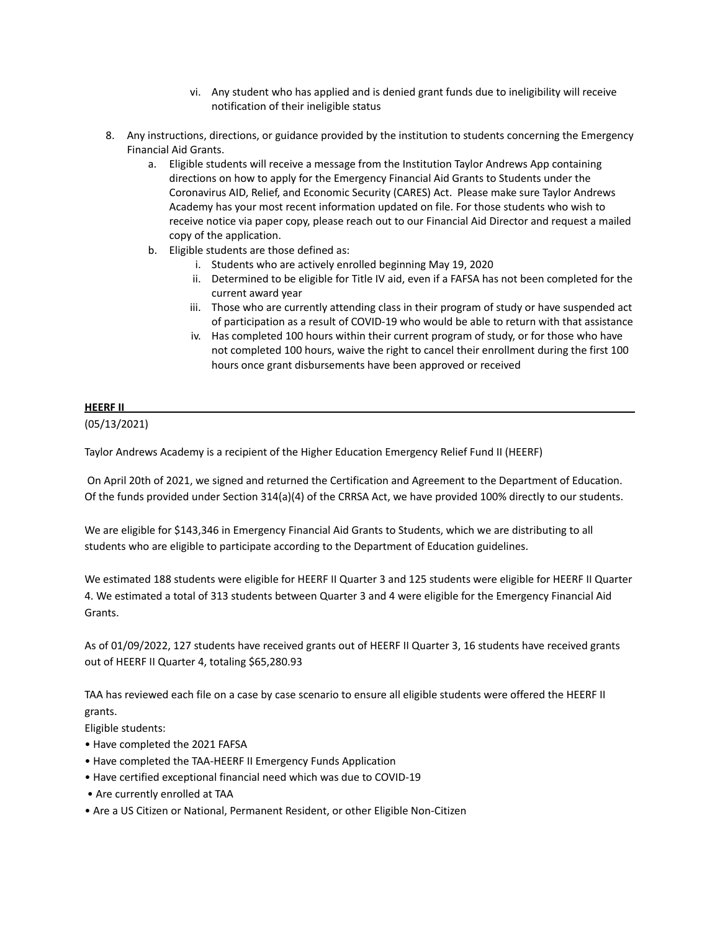- vi. Any student who has applied and is denied grant funds due to ineligibility will receive notification of their ineligible status
- 8. Any instructions, directions, or guidance provided by the institution to students concerning the Emergency Financial Aid Grants.
	- a. Eligible students will receive a message from the Institution Taylor Andrews App containing directions on how to apply for the Emergency Financial Aid Grants to Students under the Coronavirus AID, Relief, and Economic Security (CARES) Act. Please make sure Taylor Andrews Academy has your most recent information updated on file. For those students who wish to receive notice via paper copy, please reach out to our Financial Aid Director and request a mailed copy of the application.
	- b. Eligible students are those defined as:
		- i. Students who are actively enrolled beginning May 19, 2020
		- ii. Determined to be eligible for Title IV aid, even if a FAFSA has not been completed for the current award year
		- iii. Those who are currently attending class in their program of study or have suspended act of participation as a result of COVID-19 who would be able to return with that assistance
		- iv. Has completed 100 hours within their current program of study, or for those who have not completed 100 hours, waive the right to cancel their enrollment during the first 100 hours once grant disbursements have been approved or received

## **HEERF II**

(05/13/2021)

Taylor Andrews Academy is a recipient of the Higher Education Emergency Relief Fund II (HEERF)

On April 20th of 2021, we signed and returned the Certification and Agreement to the Department of Education. Of the funds provided under Section 314(a)(4) of the CRRSA Act, we have provided 100% directly to our students.

We are eligible for \$143,346 in Emergency Financial Aid Grants to Students, which we are distributing to all students who are eligible to participate according to the Department of Education guidelines.

We estimated 188 students were eligible for HEERF II Quarter 3 and 125 students were eligible for HEERF II Quarter 4. We estimated a total of 313 students between Quarter 3 and 4 were eligible for the Emergency Financial Aid Grants.

As of 01/09/2022, 127 students have received grants out of HEERF II Quarter 3, 16 students have received grants out of HEERF II Quarter 4, totaling \$65,280.93

TAA has reviewed each file on a case by case scenario to ensure all eligible students were offered the HEERF II grants.

Eligible students:

- Have completed the 2021 FAFSA
- Have completed the TAA-HEERF II Emergency Funds Application
- Have certified exceptional financial need which was due to COVID-19
- Are currently enrolled at TAA
- Are a US Citizen or National, Permanent Resident, or other Eligible Non-Citizen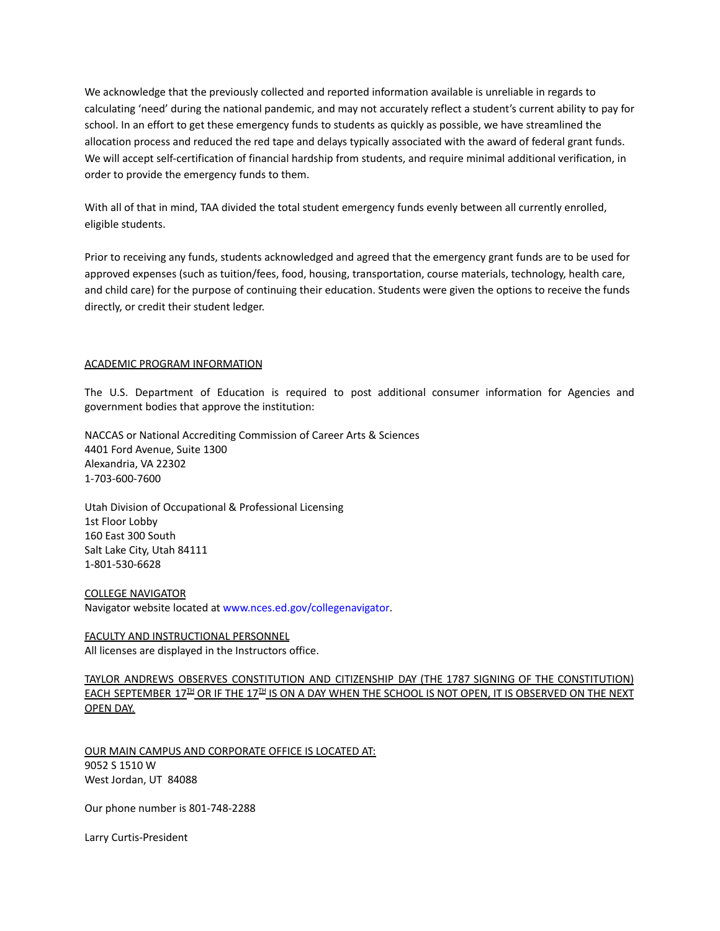We acknowledge that the previously collected and reported information available is unreliable in regards to calculating 'need' during the national pandemic, and may not accurately reflect a student's current ability to pay for school. In an effort to get these emergency funds to students as quickly as possible, we have streamlined the allocation process and reduced the red tape and delays typically associated with the award of federal grant funds. We will accept self-certification of financial hardship from students, and require minimal additional verification, in order to provide the emergency funds to them.

With all of that in mind, TAA divided the total student emergency funds evenly between all currently enrolled, eligible students.

Prior to receiving any funds, students acknowledged and agreed that the emergency grant funds are to be used for approved expenses (such as tuition/fees, food, housing, transportation, course materials, technology, health care, and child care) for the purpose of continuing their education. Students were given the options to receive the funds directly, or credit their student ledger.

#### ACADEMIC PROGRAM INFORMATION

The U.S. Department of Education is required to post additional consumer information for Agencies and government bodies that approve the institution:

NACCAS or National Accrediting Commission of Career Arts & Sciences 4401 Ford Avenue, Suite 1300 Alexandria, VA 22302 1-703-600-7600

Utah Division of Occupational & Professional Licensing 1st Floor Lobby 160 East 300 South Salt Lake City, Utah 84111 1-801-530-6628

COLLEGE NAVIGATOR Navigator website located at www.nces.ed.gov/collegenavigator.

FACULTY AND INSTRUCTIONAL PERSONNEL All licenses are displayed in the Instructors office.

TAYLOR ANDREWS OBSERVES CONSTITUTION AND CITIZENSHIP DAY (THE 1787 SIGNING OF THE CONSTITUTION) EACH SEPTEMBER 17 $^{\text{H}}$  OR IF THE 17 $^{\text{H}}$  IS ON A DAY WHEN THE SCHOOL IS NOT OPEN, IT IS OBSERVED ON THE NEXT OPEN DAY.

OUR MAIN CAMPUS AND CORPORATE OFFICE IS LOCATED AT: 9052 S 1510 W West Jordan, UT 84088

Our phone number is 801-748-2288

Larry Curtis-President